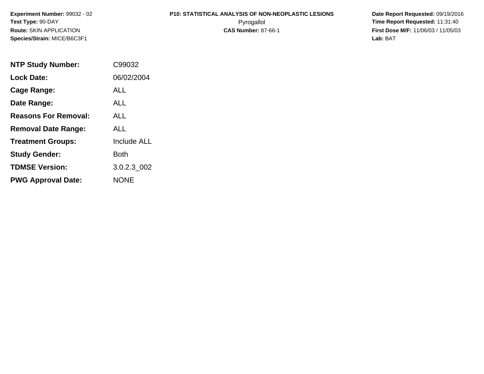**Experiment Number:** 99032 - 02**Test Type:** 90-DAY**Route:** SKIN APPLICATION**Species/Strain:** MICE/B6C3F1

# **P10: STATISTICAL ANALYSIS OF NON-NEOPLASTIC LESIONS**

 **Date Report Requested:** 09/19/2016 Pyrogallol **Time Report Requested:** 11:31:40 **First Dose M/F:** 11/06/03 / 11/05/03<br>Lab: BAT **Lab:** BAT

| <b>NTP Study Number:</b>    | C99032             |
|-----------------------------|--------------------|
| <b>Lock Date:</b>           | 06/02/2004         |
| Cage Range:                 | ALL                |
| Date Range:                 | ALL                |
| <b>Reasons For Removal:</b> | ALL.               |
| <b>Removal Date Range:</b>  | ALL                |
| <b>Treatment Groups:</b>    | <b>Include ALL</b> |
| <b>Study Gender:</b>        | <b>Both</b>        |
| <b>TDMSE Version:</b>       | 3.0.2.3 002        |
| <b>PWG Approval Date:</b>   | <b>NONE</b>        |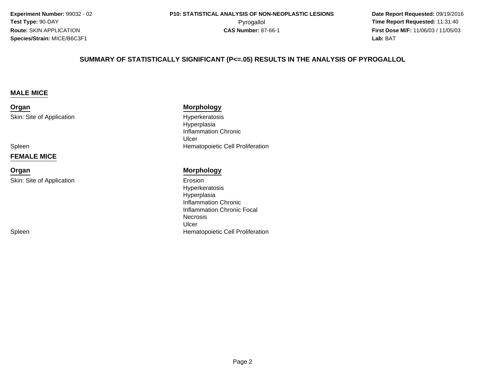**Experiment Number:** 99032 - 02**Test Type:** 90-DAY**Route:** SKIN APPLICATION**Species/Strain:** MICE/B6C3F1

 **Date Report Requested:** 09/19/2016 **First Dose M/F:** 11/06/03 / 11/05/03<br>**Lab:** BAT **Lab:** BAT

#### **SUMMARY OF STATISTICALLY SIGNIFICANT (P<=.05) RESULTS IN THE ANALYSIS OF PYROGALLOL**

#### **MALE MICE**

**Organ**Skin: Site of Application

Spleen

#### **FEMALE MICE**

**Organ**

Skin: Site of Application

Spleen

#### **Morphology**

 Hyperkeratosis Hyperplasia Inflammation ChronicUlcern **External Structure Cell Proliferation**<br>
Hematopoietic Cell Proliferation

#### **Morphology**

n Erosion (1999) en de la constantidad de la constantidad de la constantidad de la constantidad de la constantid<br>En la constantidad de la constantidad de la constantidad de la constantidad de la constantidad de la constant HyperkeratosisHyperplasia Inflammation Chronic Inflammation Chronic FocalNecrosisUlcern **External Structure Cell Proliferation**<br>
Hematopoietic Cell Proliferation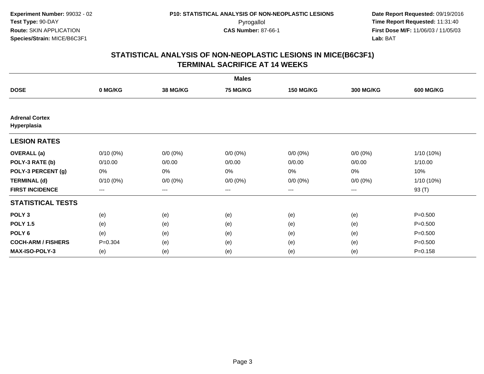|                                      |             |                 | <b>Males</b>    |                  |                  |                  |
|--------------------------------------|-------------|-----------------|-----------------|------------------|------------------|------------------|
| <b>DOSE</b>                          | 0 MG/KG     | <b>38 MG/KG</b> | <b>75 MG/KG</b> | <b>150 MG/KG</b> | <b>300 MG/KG</b> | <b>600 MG/KG</b> |
|                                      |             |                 |                 |                  |                  |                  |
| <b>Adrenal Cortex</b><br>Hyperplasia |             |                 |                 |                  |                  |                  |
| <b>LESION RATES</b>                  |             |                 |                 |                  |                  |                  |
| <b>OVERALL</b> (a)                   | $0/10(0\%)$ | $0/0 (0\%)$     | $0/0 (0\%)$     | $0/0 (0\%)$      | $0/0 (0\%)$      | 1/10 (10%)       |
| POLY-3 RATE (b)                      | 0/10.00     | 0/0.00          | 0/0.00          | 0/0.00           | 0/0.00           | 1/10.00          |
| POLY-3 PERCENT (g)                   | 0%          | 0%              | 0%              | 0%               | 0%               | 10%              |
| <b>TERMINAL (d)</b>                  | $0/10(0\%)$ | $0/0 (0\%)$     | $0/0 (0\%)$     | $0/0 (0\%)$      | $0/0 (0\%)$      | 1/10 (10%)       |
| <b>FIRST INCIDENCE</b>               | $--$        | $--$            | ---             | $--$             | ---              | 93 (T)           |
| <b>STATISTICAL TESTS</b>             |             |                 |                 |                  |                  |                  |
| POLY <sub>3</sub>                    | (e)         | (e)             | (e)             | (e)              | (e)              | $P = 0.500$      |
| <b>POLY 1.5</b>                      | (e)         | (e)             | (e)             | (e)              | (e)              | $P = 0.500$      |
| POLY 6                               | (e)         | (e)             | (e)             | (e)              | (e)              | $P = 0.500$      |
| <b>COCH-ARM / FISHERS</b>            | $P = 0.304$ | (e)             | (e)             | (e)              | (e)              | $P = 0.500$      |
| <b>MAX-ISO-POLY-3</b>                | (e)         | (e)             | (e)             | (e)              | (e)              | $P = 0.158$      |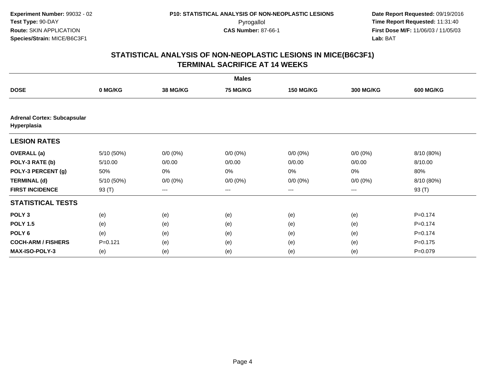|                                                   |             |                 | <b>Males</b>    |                   |                  |                  |
|---------------------------------------------------|-------------|-----------------|-----------------|-------------------|------------------|------------------|
| <b>DOSE</b>                                       | 0 MG/KG     | <b>38 MG/KG</b> | <b>75 MG/KG</b> | <b>150 MG/KG</b>  | <b>300 MG/KG</b> | <b>600 MG/KG</b> |
|                                                   |             |                 |                 |                   |                  |                  |
| <b>Adrenal Cortex: Subcapsular</b><br>Hyperplasia |             |                 |                 |                   |                  |                  |
| <b>LESION RATES</b>                               |             |                 |                 |                   |                  |                  |
| <b>OVERALL</b> (a)                                | 5/10(50%)   | $0/0 (0\%)$     | $0/0 (0\%)$     | $0/0 (0\%)$       | $0/0 (0\%)$      | 8/10 (80%)       |
| POLY-3 RATE (b)                                   | 5/10.00     | 0/0.00          | 0/0.00          | 0/0.00            | 0/0.00           | 8/10.00          |
| POLY-3 PERCENT (g)                                | 50%         | 0%              | 0%              | 0%                | $0\%$            | 80%              |
| <b>TERMINAL (d)</b>                               | 5/10 (50%)  | $0/0 (0\%)$     | $0/0 (0\%)$     | $0/0 (0\%)$       | $0/0 (0\%)$      | 8/10 (80%)       |
| <b>FIRST INCIDENCE</b>                            | 93 (T)      | $---$           | ---             | $\qquad \qquad -$ | $---$            | 93 (T)           |
| <b>STATISTICAL TESTS</b>                          |             |                 |                 |                   |                  |                  |
| POLY <sub>3</sub>                                 | (e)         | (e)             | (e)             | (e)               | (e)              | $P = 0.174$      |
| <b>POLY 1.5</b>                                   | (e)         | (e)             | (e)             | (e)               | (e)              | $P = 0.174$      |
| POLY <sub>6</sub>                                 | (e)         | (e)             | (e)             | (e)               | (e)              | $P=0.174$        |
| <b>COCH-ARM / FISHERS</b>                         | $P = 0.121$ | (e)             | (e)             | (e)               | (e)              | $P = 0.175$      |
| <b>MAX-ISO-POLY-3</b>                             | (e)         | (e)             | (e)             | (e)               | (e)              | $P = 0.079$      |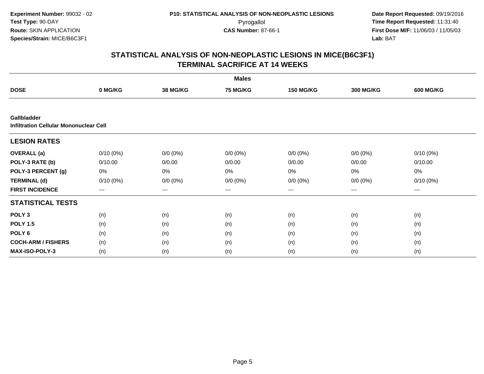|                                                       |                     |                 | <b>Males</b>    |                   |                  |                  |
|-------------------------------------------------------|---------------------|-----------------|-----------------|-------------------|------------------|------------------|
| <b>DOSE</b>                                           | 0 MG/KG             | <b>38 MG/KG</b> | <b>75 MG/KG</b> | <b>150 MG/KG</b>  | <b>300 MG/KG</b> | <b>600 MG/KG</b> |
|                                                       |                     |                 |                 |                   |                  |                  |
| Gallbladder<br>Infiltration Cellular Mononuclear Cell |                     |                 |                 |                   |                  |                  |
| <b>LESION RATES</b>                                   |                     |                 |                 |                   |                  |                  |
| <b>OVERALL</b> (a)                                    | $0/10(0\%)$         | $0/0 (0\%)$     | $0/0 (0\%)$     | $0/0 (0\%)$       | $0/0 (0\%)$      | $0/10(0\%)$      |
| POLY-3 RATE (b)                                       | 0/10.00             | 0/0.00          | 0/0.00          | 0/0.00            | 0/0.00           | 0/10.00          |
| POLY-3 PERCENT (g)                                    | 0%                  | 0%              | 0%              | 0%                | 0%               | 0%               |
| <b>TERMINAL (d)</b>                                   | $0/10(0\%)$         | $0/0 (0\%)$     | $0/0 (0\%)$     | $0/0 (0\%)$       | $0/0 (0\%)$      | $0/10(0\%)$      |
| <b>FIRST INCIDENCE</b>                                | $\qquad \qquad - -$ | ---             | ---             | $\qquad \qquad -$ | ---              | ---              |
| <b>STATISTICAL TESTS</b>                              |                     |                 |                 |                   |                  |                  |
| POLY <sub>3</sub>                                     | (n)                 | (n)             | (n)             | (n)               | (n)              | (n)              |
| <b>POLY 1.5</b>                                       | (n)                 | (n)             | (n)             | (n)               | (n)              | (n)              |
| POLY <sub>6</sub>                                     | (n)                 | (n)             | (n)             | (n)               | (n)              | (n)              |
| <b>COCH-ARM / FISHERS</b>                             | (n)                 | (n)             | (n)             | (n)               | (n)              | (n)              |
| <b>MAX-ISO-POLY-3</b>                                 | (n)                 | (n)             | (n)             | (n)               | (n)              | (n)              |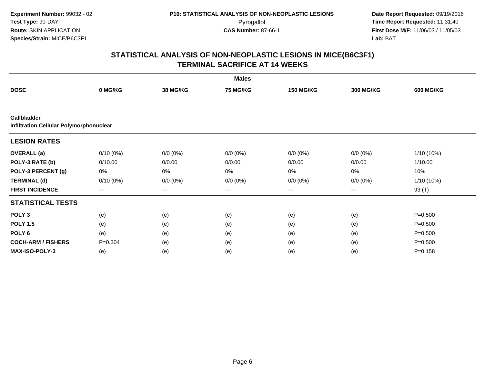|                                                               |                     |                 | <b>Males</b>    |                        |                  |                  |
|---------------------------------------------------------------|---------------------|-----------------|-----------------|------------------------|------------------|------------------|
| <b>DOSE</b>                                                   | 0 MG/KG             | <b>38 MG/KG</b> | <b>75 MG/KG</b> | <b>150 MG/KG</b>       | <b>300 MG/KG</b> | <b>600 MG/KG</b> |
|                                                               |                     |                 |                 |                        |                  |                  |
| Gallbladder<br><b>Infiltration Cellular Polymorphonuclear</b> |                     |                 |                 |                        |                  |                  |
| <b>LESION RATES</b>                                           |                     |                 |                 |                        |                  |                  |
| <b>OVERALL</b> (a)                                            | $0/10(0\%)$         | $0/0 (0\%)$     | $0/0 (0\%)$     | $0/0 (0\%)$            | $0/0 (0\%)$      | 1/10 (10%)       |
| POLY-3 RATE (b)                                               | 0/10.00             | 0/0.00          | 0/0.00          | 0/0.00                 | 0/0.00           | 1/10.00          |
| POLY-3 PERCENT (g)                                            | 0%                  | 0%              | 0%              | 0%                     | 0%               | 10%              |
| <b>TERMINAL (d)</b>                                           | $0/10(0\%)$         | $0/0 (0\%)$     | $0/0 (0\%)$     | $0/0(0\%)$             | $0/0 (0\%)$      | 1/10 (10%)       |
| <b>FIRST INCIDENCE</b>                                        | $\qquad \qquad - -$ | ---             | $---$           | $\qquad \qquad \cdots$ | ---              | 93 (T)           |
| <b>STATISTICAL TESTS</b>                                      |                     |                 |                 |                        |                  |                  |
| POLY <sub>3</sub>                                             | (e)                 | (e)             | (e)             | (e)                    | (e)              | $P = 0.500$      |
| <b>POLY 1.5</b>                                               | (e)                 | (e)             | (e)             | (e)                    | (e)              | $P = 0.500$      |
| POLY <sub>6</sub>                                             | (e)                 | (e)             | (e)             | (e)                    | (e)              | $P = 0.500$      |
| <b>COCH-ARM / FISHERS</b>                                     | $P = 0.304$         | (e)             | (e)             | (e)                    | (e)              | $P = 0.500$      |
| <b>MAX-ISO-POLY-3</b>                                         | (e)                 | (e)             | (e)             | (e)                    | (e)              | $P = 0.158$      |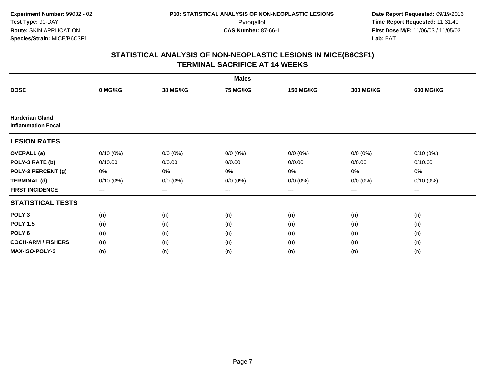|                                                     |             |                   | <b>Males</b> |                  |                  |                  |
|-----------------------------------------------------|-------------|-------------------|--------------|------------------|------------------|------------------|
| <b>DOSE</b>                                         | 0 MG/KG     | 38 MG/KG          | 75 MG/KG     | <b>150 MG/KG</b> | <b>300 MG/KG</b> | <b>600 MG/KG</b> |
|                                                     |             |                   |              |                  |                  |                  |
| <b>Harderian Gland</b><br><b>Inflammation Focal</b> |             |                   |              |                  |                  |                  |
| <b>LESION RATES</b>                                 |             |                   |              |                  |                  |                  |
| <b>OVERALL</b> (a)                                  | $0/10(0\%)$ | $0/0 (0\%)$       | $0/0 (0\%)$  | $0/0 (0\%)$      | $0/0 (0\%)$      | $0/10(0\%)$      |
| POLY-3 RATE (b)                                     | 0/10.00     | 0/0.00            | 0/0.00       | 0/0.00           | 0/0.00           | 0/10.00          |
| POLY-3 PERCENT (g)                                  | 0%          | $0\%$             | 0%           | 0%               | $0\%$            | 0%               |
| <b>TERMINAL (d)</b>                                 | $0/10(0\%)$ | $0/0 (0\%)$       | $0/0 (0\%)$  | $0/0 (0\%)$      | $0/0 (0\%)$      | $0/10(0\%)$      |
| <b>FIRST INCIDENCE</b>                              | $--$        | $\qquad \qquad -$ | $---$        | $--$             | $---$            | $---$            |
| <b>STATISTICAL TESTS</b>                            |             |                   |              |                  |                  |                  |
| POLY <sub>3</sub>                                   | (n)         | (n)               | (n)          | (n)              | (n)              | (n)              |
| <b>POLY 1.5</b>                                     | (n)         | (n)               | (n)          | (n)              | (n)              | (n)              |
| POLY <sub>6</sub>                                   | (n)         | (n)               | (n)          | (n)              | (n)              | (n)              |
| <b>COCH-ARM / FISHERS</b>                           | (n)         | (n)               | (n)          | (n)              | (n)              | (n)              |
| MAX-ISO-POLY-3                                      | (n)         | (n)               | (n)          | (n)              | (n)              | (n)              |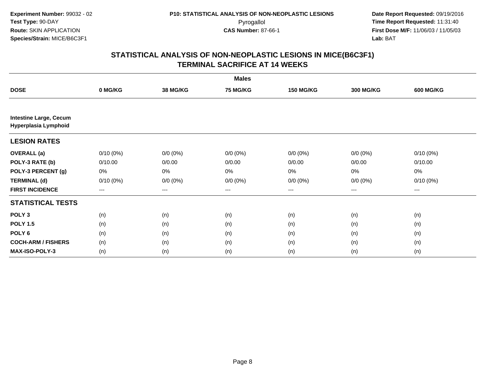|                                                       |             |                 | <b>Males</b>    |                  |                  |                  |
|-------------------------------------------------------|-------------|-----------------|-----------------|------------------|------------------|------------------|
| <b>DOSE</b>                                           | 0 MG/KG     | <b>38 MG/KG</b> | <b>75 MG/KG</b> | <b>150 MG/KG</b> | <b>300 MG/KG</b> | <b>600 MG/KG</b> |
|                                                       |             |                 |                 |                  |                  |                  |
| <b>Intestine Large, Cecum</b><br>Hyperplasia Lymphoid |             |                 |                 |                  |                  |                  |
| <b>LESION RATES</b>                                   |             |                 |                 |                  |                  |                  |
| <b>OVERALL</b> (a)                                    | $0/10(0\%)$ | $0/0 (0\%)$     | $0/0 (0\%)$     | $0/0 (0\%)$      | $0/0 (0\%)$      | $0/10(0\%)$      |
| POLY-3 RATE (b)                                       | 0/10.00     | 0/0.00          | 0/0.00          | 0/0.00           | 0/0.00           | 0/10.00          |
| POLY-3 PERCENT (g)                                    | 0%          | 0%              | 0%              | 0%               | 0%               | 0%               |
| <b>TERMINAL (d)</b>                                   | $0/10(0\%)$ | $0/0 (0\%)$     | $0/0 (0\%)$     | $0/0 (0\%)$      | $0/0 (0\%)$      | $0/10(0\%)$      |
| <b>FIRST INCIDENCE</b>                                | $--$        | ---             | ---             | $--$             | ---              | ---              |
| <b>STATISTICAL TESTS</b>                              |             |                 |                 |                  |                  |                  |
| POLY <sub>3</sub>                                     | (n)         | (n)             | (n)             | (n)              | (n)              | (n)              |
| <b>POLY 1.5</b>                                       | (n)         | (n)             | (n)             | (n)              | (n)              | (n)              |
| POLY <sub>6</sub>                                     | (n)         | (n)             | (n)             | (n)              | (n)              | (n)              |
| <b>COCH-ARM / FISHERS</b>                             | (n)         | (n)             | (n)             | (n)              | (n)              | (n)              |
| MAX-ISO-POLY-3                                        | (n)         | (n)             | (n)             | (n)              | (n)              | (n)              |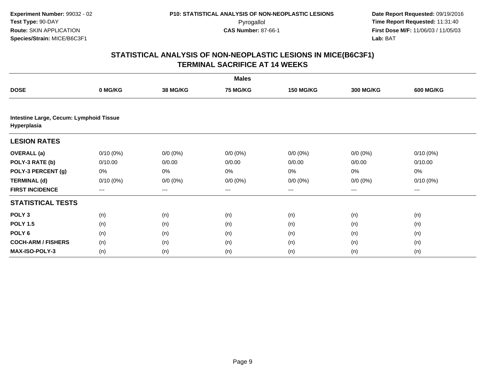|                                                        |                   |                 | <b>Males</b>    |                  |                  |                  |
|--------------------------------------------------------|-------------------|-----------------|-----------------|------------------|------------------|------------------|
| <b>DOSE</b>                                            | 0 MG/KG           | <b>38 MG/KG</b> | <b>75 MG/KG</b> | <b>150 MG/KG</b> | <b>300 MG/KG</b> | <b>600 MG/KG</b> |
|                                                        |                   |                 |                 |                  |                  |                  |
| Intestine Large, Cecum: Lymphoid Tissue<br>Hyperplasia |                   |                 |                 |                  |                  |                  |
| <b>LESION RATES</b>                                    |                   |                 |                 |                  |                  |                  |
| <b>OVERALL</b> (a)                                     | $0/10(0\%)$       | $0/0 (0\%)$     | $0/0 (0\%)$     | $0/0 (0\%)$      | $0/0 (0\%)$      | $0/10(0\%)$      |
| POLY-3 RATE (b)                                        | 0/10.00           | 0/0.00          | 0/0.00          | 0/0.00           | 0/0.00           | 0/10.00          |
| POLY-3 PERCENT (g)                                     | 0%                | 0%              | 0%              | 0%               | 0%               | 0%               |
| <b>TERMINAL (d)</b>                                    | $0/10(0\%)$       | $0/0 (0\%)$     | $0/0 (0\%)$     | $0/0 (0\%)$      | $0/0 (0\%)$      | $0/10(0\%)$      |
| <b>FIRST INCIDENCE</b>                                 | $\qquad \qquad -$ | ---             | ---             | $---$            | ---              | $---$            |
| <b>STATISTICAL TESTS</b>                               |                   |                 |                 |                  |                  |                  |
| POLY <sub>3</sub>                                      | (n)               | (n)             | (n)             | (n)              | (n)              | (n)              |
| <b>POLY 1.5</b>                                        | (n)               | (n)             | (n)             | (n)              | (n)              | (n)              |
| POLY <sub>6</sub>                                      | (n)               | (n)             | (n)             | (n)              | (n)              | (n)              |
| <b>COCH-ARM / FISHERS</b>                              | (n)               | (n)             | (n)             | (n)              | (n)              | (n)              |
| MAX-ISO-POLY-3                                         | (n)               | (n)             | (n)             | (n)              | (n)              | (n)              |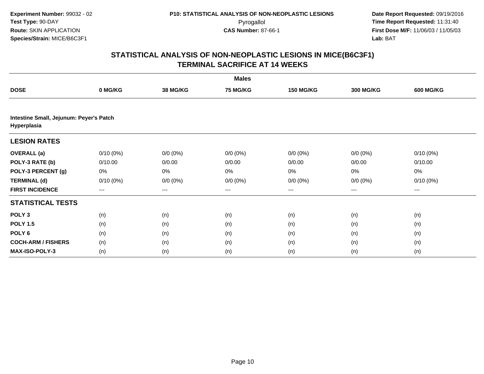|                                                        |             |                 | <b>Males</b>    |                  |                  |                  |
|--------------------------------------------------------|-------------|-----------------|-----------------|------------------|------------------|------------------|
| <b>DOSE</b>                                            | 0 MG/KG     | <b>38 MG/KG</b> | <b>75 MG/KG</b> | <b>150 MG/KG</b> | <b>300 MG/KG</b> | <b>600 MG/KG</b> |
|                                                        |             |                 |                 |                  |                  |                  |
| Intestine Small, Jejunum: Peyer's Patch<br>Hyperplasia |             |                 |                 |                  |                  |                  |
| <b>LESION RATES</b>                                    |             |                 |                 |                  |                  |                  |
| <b>OVERALL</b> (a)                                     | $0/10(0\%)$ | $0/0 (0\%)$     | $0/0 (0\%)$     | $0/0 (0\%)$      | $0/0 (0\%)$      | $0/10(0\%)$      |
| POLY-3 RATE (b)                                        | 0/10.00     | 0/0.00          | 0/0.00          | 0/0.00           | 0/0.00           | 0/10.00          |
| POLY-3 PERCENT (g)                                     | 0%          | 0%              | 0%              | 0%               | 0%               | 0%               |
| <b>TERMINAL (d)</b>                                    | $0/10(0\%)$ | $0/0 (0\%)$     | $0/0 (0\%)$     | $0/0 (0\%)$      | $0/0 (0\%)$      | $0/10(0\%)$      |
| <b>FIRST INCIDENCE</b>                                 | $---$       | ---             | ---             | $--$             | ---              | ---              |
| <b>STATISTICAL TESTS</b>                               |             |                 |                 |                  |                  |                  |
| POLY <sub>3</sub>                                      | (n)         | (n)             | (n)             | (n)              | (n)              | (n)              |
| <b>POLY 1.5</b>                                        | (n)         | (n)             | (n)             | (n)              | (n)              | (n)              |
| POLY <sub>6</sub>                                      | (n)         | (n)             | (n)             | (n)              | (n)              | (n)              |
| <b>COCH-ARM / FISHERS</b>                              | (n)         | (n)             | (n)             | (n)              | (n)              | (n)              |
| MAX-ISO-POLY-3                                         | (n)         | (n)             | (n)             | (n)              | (n)              | (n)              |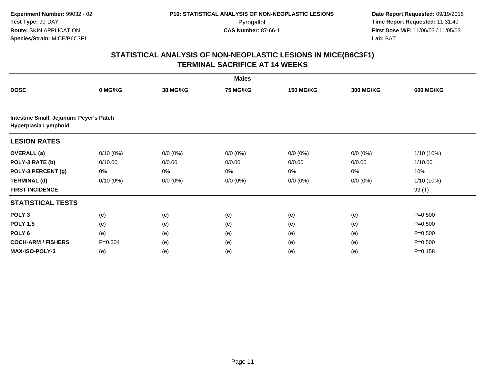|                                                                 |             |                 | <b>Males</b>      |                  |                  |                  |
|-----------------------------------------------------------------|-------------|-----------------|-------------------|------------------|------------------|------------------|
| <b>DOSE</b>                                                     | 0 MG/KG     | <b>38 MG/KG</b> | <b>75 MG/KG</b>   | <b>150 MG/KG</b> | <b>300 MG/KG</b> | <b>600 MG/KG</b> |
|                                                                 |             |                 |                   |                  |                  |                  |
| Intestine Small, Jejunum: Peyer's Patch<br>Hyperplasia Lymphoid |             |                 |                   |                  |                  |                  |
| <b>LESION RATES</b>                                             |             |                 |                   |                  |                  |                  |
| <b>OVERALL</b> (a)                                              | $0/10(0\%)$ | $0/0 (0\%)$     | $0/0 (0\%)$       | $0/0 (0\%)$      | $0/0 (0\%)$      | 1/10 (10%)       |
| POLY-3 RATE (b)                                                 | 0/10.00     | 0/0.00          | 0/0.00            | 0/0.00           | 0/0.00           | 1/10.00          |
| POLY-3 PERCENT (g)                                              | 0%          | 0%              | 0%                | 0%               | 0%               | 10%              |
| <b>TERMINAL (d)</b>                                             | $0/10(0\%)$ | $0/0 (0\%)$     | $0/0 (0\%)$       | $0/0 (0\%)$      | $0/0 (0\%)$      | 1/10 (10%)       |
| <b>FIRST INCIDENCE</b>                                          | ---         | ---             | $\qquad \qquad -$ | $---$            | $---$            | 93 (T)           |
| <b>STATISTICAL TESTS</b>                                        |             |                 |                   |                  |                  |                  |
| POLY <sub>3</sub>                                               | (e)         | (e)             | (e)               | (e)              | (e)              | $P = 0.500$      |
| <b>POLY 1.5</b>                                                 | (e)         | (e)             | (e)               | (e)              | (e)              | $P = 0.500$      |
| POLY <sub>6</sub>                                               | (e)         | (e)             | (e)               | (e)              | (e)              | $P = 0.500$      |
| <b>COCH-ARM / FISHERS</b>                                       | $P = 0.304$ | (e)             | (e)               | (e)              | (e)              | $P = 0.500$      |
| <b>MAX-ISO-POLY-3</b>                                           | (e)         | (e)             | (e)               | (e)              | (e)              | $P = 0.158$      |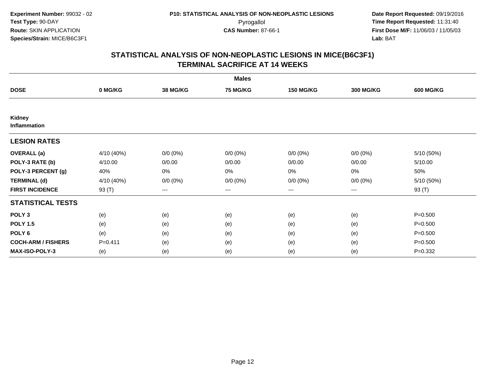|                               |             |                   | <b>Males</b>    |                  |                  |                  |
|-------------------------------|-------------|-------------------|-----------------|------------------|------------------|------------------|
| <b>DOSE</b>                   | 0 MG/KG     | <b>38 MG/KG</b>   | <b>75 MG/KG</b> | <b>150 MG/KG</b> | <b>300 MG/KG</b> | <b>600 MG/KG</b> |
|                               |             |                   |                 |                  |                  |                  |
| Kidney<br><b>Inflammation</b> |             |                   |                 |                  |                  |                  |
| <b>LESION RATES</b>           |             |                   |                 |                  |                  |                  |
| <b>OVERALL</b> (a)            | 4/10 (40%)  | $0/0 (0\%)$       | $0/0 (0\%)$     | $0/0 (0\%)$      | $0/0 (0\%)$      | 5/10 (50%)       |
| POLY-3 RATE (b)               | 4/10.00     | 0/0.00            | 0/0.00          | 0/0.00           | 0/0.00           | 5/10.00          |
| POLY-3 PERCENT (g)            | 40%         | $0\%$             | 0%              | 0%               | $0\%$            | 50%              |
| <b>TERMINAL (d)</b>           | 4/10 (40%)  | $0/0 (0\%)$       | $0/0 (0\%)$     | $0/0 (0\%)$      | $0/0 (0\%)$      | 5/10 (50%)       |
| <b>FIRST INCIDENCE</b>        | 93 (T)      | $\qquad \qquad -$ | $---$           | $--$             | $---$            | 93 (T)           |
| <b>STATISTICAL TESTS</b>      |             |                   |                 |                  |                  |                  |
| POLY <sub>3</sub>             | (e)         | (e)               | (e)             | (e)              | (e)              | $P = 0.500$      |
| <b>POLY 1.5</b>               | (e)         | (e)               | (e)             | (e)              | (e)              | $P = 0.500$      |
| POLY <sub>6</sub>             | (e)         | (e)               | (e)             | (e)              | (e)              | $P = 0.500$      |
| <b>COCH-ARM / FISHERS</b>     | $P = 0.411$ | (e)               | (e)             | (e)              | (e)              | $P = 0.500$      |
| <b>MAX-ISO-POLY-3</b>         | (e)         | (e)               | (e)             | (e)              | (e)              | $P=0.332$        |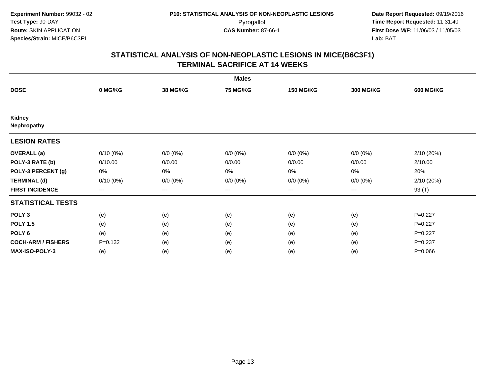|                              |             |                     | <b>Males</b>    |                  |                  |                  |
|------------------------------|-------------|---------------------|-----------------|------------------|------------------|------------------|
| <b>DOSE</b>                  | 0 MG/KG     | <b>38 MG/KG</b>     | <b>75 MG/KG</b> | <b>150 MG/KG</b> | <b>300 MG/KG</b> | <b>600 MG/KG</b> |
|                              |             |                     |                 |                  |                  |                  |
| <b>Kidney</b><br>Nephropathy |             |                     |                 |                  |                  |                  |
| <b>LESION RATES</b>          |             |                     |                 |                  |                  |                  |
| <b>OVERALL</b> (a)           | $0/10(0\%)$ | $0/0 (0\%)$         | $0/0 (0\%)$     | $0/0 (0\%)$      | $0/0 (0\%)$      | 2/10 (20%)       |
| POLY-3 RATE (b)              | 0/10.00     | 0/0.00              | 0/0.00          | 0/0.00           | 0/0.00           | 2/10.00          |
| POLY-3 PERCENT (g)           | 0%          | 0%                  | 0%              | 0%               | $0\%$            | 20%              |
| <b>TERMINAL (d)</b>          | $0/10(0\%)$ | $0/0 (0\%)$         | $0/0 (0\%)$     | $0/0 (0\%)$      | $0/0 (0\%)$      | 2/10 (20%)       |
| <b>FIRST INCIDENCE</b>       | ---         | $\qquad \qquad - -$ | $---$           | $---$            | $---$            | 93 (T)           |
| <b>STATISTICAL TESTS</b>     |             |                     |                 |                  |                  |                  |
| POLY <sub>3</sub>            | (e)         | (e)                 | (e)             | (e)              | (e)              | $P=0.227$        |
| <b>POLY 1.5</b>              | (e)         | (e)                 | (e)             | (e)              | (e)              | $P=0.227$        |
| POLY <sub>6</sub>            | (e)         | (e)                 | (e)             | (e)              | (e)              | $P=0.227$        |
| <b>COCH-ARM / FISHERS</b>    | $P = 0.132$ | (e)                 | (e)             | (e)              | (e)              | $P = 0.237$      |
| <b>MAX-ISO-POLY-3</b>        | (e)         | (e)                 | (e)             | (e)              | (e)              | $P = 0.066$      |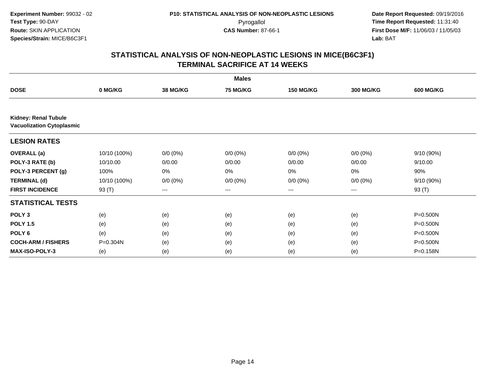|                                                                 |              |                 | <b>Males</b>    |                        |             |                  |
|-----------------------------------------------------------------|--------------|-----------------|-----------------|------------------------|-------------|------------------|
| <b>DOSE</b>                                                     | 0 MG/KG      | <b>38 MG/KG</b> | <b>75 MG/KG</b> | <b>150 MG/KG</b>       | 300 MG/KG   | <b>600 MG/KG</b> |
|                                                                 |              |                 |                 |                        |             |                  |
| <b>Kidney: Renal Tubule</b><br><b>Vacuolization Cytoplasmic</b> |              |                 |                 |                        |             |                  |
| <b>LESION RATES</b>                                             |              |                 |                 |                        |             |                  |
| <b>OVERALL</b> (a)                                              | 10/10 (100%) | $0/0 (0\%)$     | $0/0 (0\%)$     | $0/0 (0\%)$            | $0/0 (0\%)$ | 9/10 (90%)       |
| POLY-3 RATE (b)                                                 | 10/10.00     | 0/0.00          | 0/0.00          | 0/0.00                 | 0/0.00      | 9/10.00          |
| POLY-3 PERCENT (g)                                              | 100%         | 0%              | 0%              | 0%                     | 0%          | 90%              |
| <b>TERMINAL (d)</b>                                             | 10/10 (100%) | $0/0 (0\%)$     | $0/0 (0\%)$     | $0/0 (0\%)$            | $0/0 (0\%)$ | 9/10 (90%)       |
| <b>FIRST INCIDENCE</b>                                          | 93 (T)       | ---             | $---$           | $\qquad \qquad \cdots$ | ---         | 93 (T)           |
| <b>STATISTICAL TESTS</b>                                        |              |                 |                 |                        |             |                  |
| POLY <sub>3</sub>                                               | (e)          | (e)             | (e)             | (e)                    | (e)         | $P = 0.500N$     |
| <b>POLY 1.5</b>                                                 | (e)          | (e)             | (e)             | (e)                    | (e)         | P=0.500N         |
| POLY <sub>6</sub>                                               | (e)          | (e)             | (e)             | (e)                    | (e)         | $P = 0.500N$     |
| <b>COCH-ARM / FISHERS</b>                                       | P=0.304N     | (e)             | (e)             | (e)                    | (e)         | P=0.500N         |
| MAX-ISO-POLY-3                                                  | (e)          | (e)             | (e)             | (e)                    | (e)         | P=0.158N         |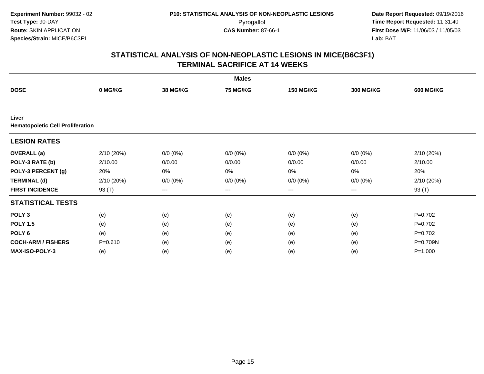|                                                  |             |                     | <b>Males</b>    |                  |                   |                  |
|--------------------------------------------------|-------------|---------------------|-----------------|------------------|-------------------|------------------|
| <b>DOSE</b>                                      | 0 MG/KG     | <b>38 MG/KG</b>     | <b>75 MG/KG</b> | <b>150 MG/KG</b> | <b>300 MG/KG</b>  | <b>600 MG/KG</b> |
|                                                  |             |                     |                 |                  |                   |                  |
| Liver<br><b>Hematopoietic Cell Proliferation</b> |             |                     |                 |                  |                   |                  |
| <b>LESION RATES</b>                              |             |                     |                 |                  |                   |                  |
| <b>OVERALL</b> (a)                               | 2/10 (20%)  | $0/0 (0\%)$         | $0/0 (0\%)$     | $0/0 (0\%)$      | $0/0 (0\%)$       | 2/10 (20%)       |
| POLY-3 RATE (b)                                  | 2/10.00     | 0/0.00              | 0/0.00          | 0/0.00           | 0/0.00            | 2/10.00          |
| POLY-3 PERCENT (g)                               | 20%         | 0%                  | 0%              | 0%               | 0%                | 20%              |
| <b>TERMINAL (d)</b>                              | 2/10 (20%)  | $0/0 (0\%)$         | $0/0 (0\%)$     | $0/0 (0\%)$      | $0/0 (0\%)$       | 2/10 (20%)       |
| <b>FIRST INCIDENCE</b>                           | 93 (T)      | $\qquad \qquad - -$ | $---$           | $--$             | $\qquad \qquad -$ | 93 (T)           |
| <b>STATISTICAL TESTS</b>                         |             |                     |                 |                  |                   |                  |
| POLY <sub>3</sub>                                | (e)         | (e)                 | (e)             | (e)              | (e)               | $P=0.702$        |
| <b>POLY 1.5</b>                                  | (e)         | (e)                 | (e)             | (e)              | (e)               | $P=0.702$        |
| POLY <sub>6</sub>                                | (e)         | (e)                 | (e)             | (e)              | (e)               | $P=0.702$        |
| <b>COCH-ARM / FISHERS</b>                        | $P = 0.610$ | (e)                 | (e)             | (e)              | (e)               | P=0.709N         |
| <b>MAX-ISO-POLY-3</b>                            | (e)         | (e)                 | (e)             | (e)              | (e)               | $P = 1.000$      |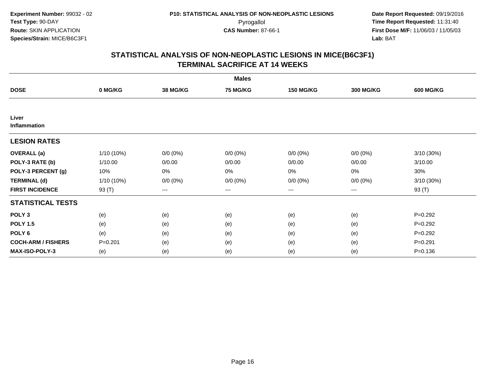|                           |             |                     | <b>Males</b>    |                  |                  |                  |
|---------------------------|-------------|---------------------|-----------------|------------------|------------------|------------------|
| <b>DOSE</b>               | 0 MG/KG     | 38 MG/KG            | <b>75 MG/KG</b> | <b>150 MG/KG</b> | <b>300 MG/KG</b> | <b>600 MG/KG</b> |
|                           |             |                     |                 |                  |                  |                  |
| Liver<br>Inflammation     |             |                     |                 |                  |                  |                  |
| <b>LESION RATES</b>       |             |                     |                 |                  |                  |                  |
| <b>OVERALL</b> (a)        | 1/10 (10%)  | $0/0 (0\%)$         | $0/0 (0\%)$     | $0/0 (0\%)$      | $0/0 (0\%)$      | 3/10 (30%)       |
| POLY-3 RATE (b)           | 1/10.00     | 0/0.00              | 0/0.00          | 0/0.00           | 0/0.00           | 3/10.00          |
| POLY-3 PERCENT (g)        | 10%         | 0%                  | 0%              | 0%               | $0\%$            | 30%              |
| <b>TERMINAL (d)</b>       | 1/10 (10%)  | $0/0 (0\%)$         | $0/0 (0\%)$     | $0/0 (0\%)$      | $0/0 (0\%)$      | 3/10 (30%)       |
| <b>FIRST INCIDENCE</b>    | 93 (T)      | $\qquad \qquad - -$ | $---$           | $--$             | $---$            | 93 (T)           |
| <b>STATISTICAL TESTS</b>  |             |                     |                 |                  |                  |                  |
| POLY <sub>3</sub>         | (e)         | (e)                 | (e)             | (e)              | (e)              | $P=0.292$        |
| <b>POLY 1.5</b>           | (e)         | (e)                 | (e)             | (e)              | (e)              | $P=0.292$        |
| POLY 6                    | (e)         | (e)                 | (e)             | (e)              | (e)              | $P=0.292$        |
| <b>COCH-ARM / FISHERS</b> | $P = 0.201$ | (e)                 | (e)             | (e)              | (e)              | $P = 0.291$      |
| MAX-ISO-POLY-3            | (e)         | (e)                 | (e)             | (e)              | (e)              | $P = 0.136$      |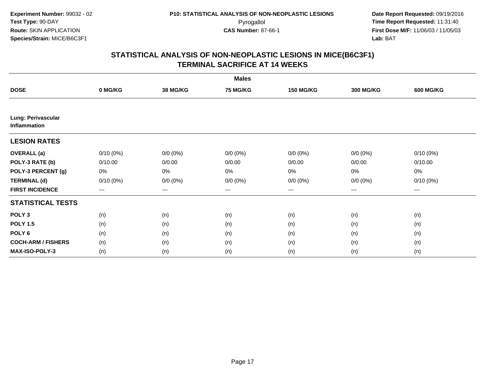| <b>Males</b>                       |             |             |                 |                  |                        |                  |  |  |
|------------------------------------|-------------|-------------|-----------------|------------------|------------------------|------------------|--|--|
| <b>DOSE</b>                        | 0 MG/KG     | 38 MG/KG    | <b>75 MG/KG</b> | <b>150 MG/KG</b> | <b>300 MG/KG</b>       | <b>600 MG/KG</b> |  |  |
|                                    |             |             |                 |                  |                        |                  |  |  |
| Lung: Perivascular<br>Inflammation |             |             |                 |                  |                        |                  |  |  |
| <b>LESION RATES</b>                |             |             |                 |                  |                        |                  |  |  |
| <b>OVERALL</b> (a)                 | $0/10(0\%)$ | $0/0 (0\%)$ | $0/0 (0\%)$     | $0/0 (0\%)$      | $0/0 (0\%)$            | $0/10(0\%)$      |  |  |
| POLY-3 RATE (b)                    | 0/10.00     | 0/0.00      | 0/0.00          | 0/0.00           | 0/0.00                 | 0/10.00          |  |  |
| POLY-3 PERCENT (g)                 | 0%          | $0\%$       | 0%              | 0%               | 0%                     | 0%               |  |  |
| <b>TERMINAL (d)</b>                | $0/10(0\%)$ | $0/0 (0\%)$ | $0/0 (0\%)$     | $0/0 (0\%)$      | $0/0 (0\%)$            | $0/10(0\%)$      |  |  |
| <b>FIRST INCIDENCE</b>             | $--$        | $---$       | $---$           | ---              | $\qquad \qquad \cdots$ | ---              |  |  |
| <b>STATISTICAL TESTS</b>           |             |             |                 |                  |                        |                  |  |  |
| POLY <sub>3</sub>                  | (n)         | (n)         | (n)             | (n)              | (n)                    | (n)              |  |  |
| <b>POLY 1.5</b>                    | (n)         | (n)         | (n)             | (n)              | (n)                    | (n)              |  |  |
| POLY <sub>6</sub>                  | (n)         | (n)         | (n)             | (n)              | (n)                    | (n)              |  |  |
| <b>COCH-ARM / FISHERS</b>          | (n)         | (n)         | (n)             | (n)              | (n)                    | (n)              |  |  |
| MAX-ISO-POLY-3                     | (n)         | (n)         | (n)             | (n)              | (n)                    | (n)              |  |  |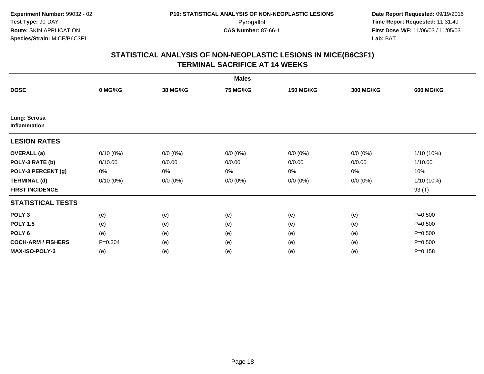| <b>Males</b>                 |             |                 |                 |                  |                  |                  |  |  |
|------------------------------|-------------|-----------------|-----------------|------------------|------------------|------------------|--|--|
| <b>DOSE</b>                  | 0 MG/KG     | <b>38 MG/KG</b> | <b>75 MG/KG</b> | <b>150 MG/KG</b> | <b>300 MG/KG</b> | <b>600 MG/KG</b> |  |  |
|                              |             |                 |                 |                  |                  |                  |  |  |
| Lung: Serosa<br>Inflammation |             |                 |                 |                  |                  |                  |  |  |
| <b>LESION RATES</b>          |             |                 |                 |                  |                  |                  |  |  |
| <b>OVERALL</b> (a)           | $0/10(0\%)$ | $0/0 (0\%)$     | $0/0 (0\%)$     | $0/0 (0\%)$      | $0/0 (0\%)$      | 1/10 (10%)       |  |  |
| POLY-3 RATE (b)              | 0/10.00     | 0/0.00          | 0/0.00          | 0/0.00           | 0/0.00           | 1/10.00          |  |  |
| POLY-3 PERCENT (g)           | 0%          | 0%              | 0%              | 0%               | 0%               | 10%              |  |  |
| <b>TERMINAL (d)</b>          | $0/10(0\%)$ | $0/0 (0\%)$     | $0/0 (0\%)$     | $0/0 (0\%)$      | $0/0 (0\%)$      | 1/10 (10%)       |  |  |
| <b>FIRST INCIDENCE</b>       | $--$        | $--$            | ---             | $--$             | ---              | 93 (T)           |  |  |
| <b>STATISTICAL TESTS</b>     |             |                 |                 |                  |                  |                  |  |  |
| POLY <sub>3</sub>            | (e)         | (e)             | (e)             | (e)              | (e)              | $P = 0.500$      |  |  |
| <b>POLY 1.5</b>              | (e)         | (e)             | (e)             | (e)              | (e)              | $P = 0.500$      |  |  |
| POLY 6                       | (e)         | (e)             | (e)             | (e)              | (e)              | $P = 0.500$      |  |  |
| <b>COCH-ARM / FISHERS</b>    | $P = 0.304$ | (e)             | (e)             | (e)              | (e)              | $P = 0.500$      |  |  |
| <b>MAX-ISO-POLY-3</b>        | (e)         | (e)             | (e)             | (e)              | (e)              | $P = 0.158$      |  |  |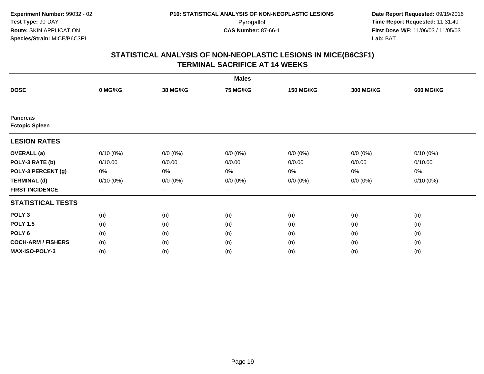| <b>Males</b>                             |                        |             |             |                   |                  |                  |  |  |
|------------------------------------------|------------------------|-------------|-------------|-------------------|------------------|------------------|--|--|
| <b>DOSE</b>                              | 0 MG/KG                | 38 MG/KG    | 75 MG/KG    | <b>150 MG/KG</b>  | <b>300 MG/KG</b> | <b>600 MG/KG</b> |  |  |
|                                          |                        |             |             |                   |                  |                  |  |  |
| <b>Pancreas</b><br><b>Ectopic Spleen</b> |                        |             |             |                   |                  |                  |  |  |
| <b>LESION RATES</b>                      |                        |             |             |                   |                  |                  |  |  |
| <b>OVERALL</b> (a)                       | $0/10(0\%)$            | $0/0 (0\%)$ | $0/0 (0\%)$ | $0/0 (0\%)$       | $0/0 (0\%)$      | $0/10(0\%)$      |  |  |
| POLY-3 RATE (b)                          | 0/10.00                | 0/0.00      | 0/0.00      | 0/0.00            | 0/0.00           | 0/10.00          |  |  |
| POLY-3 PERCENT (g)                       | 0%                     | 0%          | 0%          | 0%                | $0\%$            | 0%               |  |  |
| <b>TERMINAL (d)</b>                      | $0/10(0\%)$            | $0/0 (0\%)$ | $0/0 (0\%)$ | $0/0 (0\%)$       | $0/0 (0\%)$      | $0/10(0\%)$      |  |  |
| <b>FIRST INCIDENCE</b>                   | $\qquad \qquad \cdots$ | $---$       | ---         | $\qquad \qquad -$ | ---              | $---$            |  |  |
| <b>STATISTICAL TESTS</b>                 |                        |             |             |                   |                  |                  |  |  |
| POLY <sub>3</sub>                        | (n)                    | (n)         | (n)         | (n)               | (n)              | (n)              |  |  |
| <b>POLY 1.5</b>                          | (n)                    | (n)         | (n)         | (n)               | (n)              | (n)              |  |  |
| POLY <sub>6</sub>                        | (n)                    | (n)         | (n)         | (n)               | (n)              | (n)              |  |  |
| <b>COCH-ARM / FISHERS</b>                | (n)                    | (n)         | (n)         | (n)               | (n)              | (n)              |  |  |
| MAX-ISO-POLY-3                           | (n)                    | (n)         | (n)         | (n)               | (n)              | (n)              |  |  |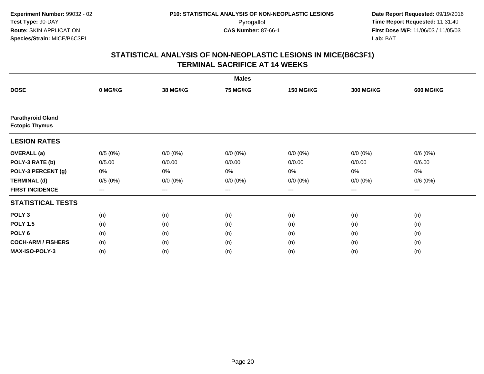| <b>Males</b>                                      |                        |             |             |                   |                  |                  |  |  |
|---------------------------------------------------|------------------------|-------------|-------------|-------------------|------------------|------------------|--|--|
| <b>DOSE</b>                                       | 0 MG/KG                | 38 MG/KG    | 75 MG/KG    | <b>150 MG/KG</b>  | <b>300 MG/KG</b> | <b>600 MG/KG</b> |  |  |
|                                                   |                        |             |             |                   |                  |                  |  |  |
| <b>Parathyroid Gland</b><br><b>Ectopic Thymus</b> |                        |             |             |                   |                  |                  |  |  |
| <b>LESION RATES</b>                               |                        |             |             |                   |                  |                  |  |  |
| <b>OVERALL</b> (a)                                | 0/5(0%)                | $0/0 (0\%)$ | $0/0 (0\%)$ | $0/0 (0\%)$       | $0/0 (0\%)$      | 0/6(0%)          |  |  |
| POLY-3 RATE (b)                                   | 0/5.00                 | 0/0.00      | 0/0.00      | 0/0.00            | 0/0.00           | 0/6.00           |  |  |
| POLY-3 PERCENT (g)                                | 0%                     | 0%          | 0%          | 0%                | $0\%$            | 0%               |  |  |
| <b>TERMINAL (d)</b>                               | 0/5(0%)                | $0/0 (0\%)$ | $0/0 (0\%)$ | $0/0 (0\%)$       | $0/0 (0\%)$      | 0/6(0%)          |  |  |
| <b>FIRST INCIDENCE</b>                            | $\qquad \qquad \cdots$ | $---$       | ---         | $\qquad \qquad -$ | $---$            | $---$            |  |  |
| <b>STATISTICAL TESTS</b>                          |                        |             |             |                   |                  |                  |  |  |
| POLY <sub>3</sub>                                 | (n)                    | (n)         | (n)         | (n)               | (n)              | (n)              |  |  |
| <b>POLY 1.5</b>                                   | (n)                    | (n)         | (n)         | (n)               | (n)              | (n)              |  |  |
| POLY <sub>6</sub>                                 | (n)                    | (n)         | (n)         | (n)               | (n)              | (n)              |  |  |
| <b>COCH-ARM / FISHERS</b>                         | (n)                    | (n)         | (n)         | (n)               | (n)              | (n)              |  |  |
| MAX-ISO-POLY-3                                    | (n)                    | (n)         | (n)         | (n)               | (n)              | (n)              |  |  |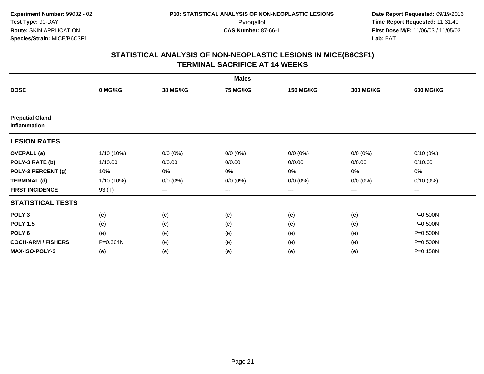|                                        |            |                 | <b>Males</b>           |                  |                   |                  |
|----------------------------------------|------------|-----------------|------------------------|------------------|-------------------|------------------|
| <b>DOSE</b>                            | 0 MG/KG    | <b>38 MG/KG</b> | 75 MG/KG               | <b>150 MG/KG</b> | <b>300 MG/KG</b>  | <b>600 MG/KG</b> |
|                                        |            |                 |                        |                  |                   |                  |
| <b>Preputial Gland</b><br>Inflammation |            |                 |                        |                  |                   |                  |
| <b>LESION RATES</b>                    |            |                 |                        |                  |                   |                  |
| <b>OVERALL</b> (a)                     | 1/10 (10%) | $0/0 (0\%)$     | $0/0 (0\%)$            | $0/0 (0\%)$      | $0/0 (0\%)$       | $0/10(0\%)$      |
| POLY-3 RATE (b)                        | 1/10.00    | 0/0.00          | 0/0.00                 | 0/0.00           | 0/0.00            | 0/10.00          |
| POLY-3 PERCENT (g)                     | 10%        | 0%              | $0\%$                  | 0%               | 0%                | 0%               |
| <b>TERMINAL (d)</b>                    | 1/10 (10%) | $0/0 (0\%)$     | $0/0 (0\%)$            | $0/0 (0\%)$      | $0/0 (0\%)$       | $0/10(0\%)$      |
| <b>FIRST INCIDENCE</b>                 | 93 (T)     | $--$            | $\qquad \qquad \cdots$ | ---              | $\qquad \qquad -$ | $\cdots$         |
| <b>STATISTICAL TESTS</b>               |            |                 |                        |                  |                   |                  |
| POLY <sub>3</sub>                      | (e)        | (e)             | (e)                    | (e)              | (e)               | $P = 0.500N$     |
| <b>POLY 1.5</b>                        | (e)        | (e)             | (e)                    | (e)              | (e)               | $P = 0.500N$     |
| POLY <sub>6</sub>                      | (e)        | (e)             | (e)                    | (e)              | (e)               | P=0.500N         |
| <b>COCH-ARM / FISHERS</b>              | P=0.304N   | (e)             | (e)                    | (e)              | (e)               | P=0.500N         |
| MAX-ISO-POLY-3                         | (e)        | (e)             | (e)                    | (e)              | (e)               | P=0.158N         |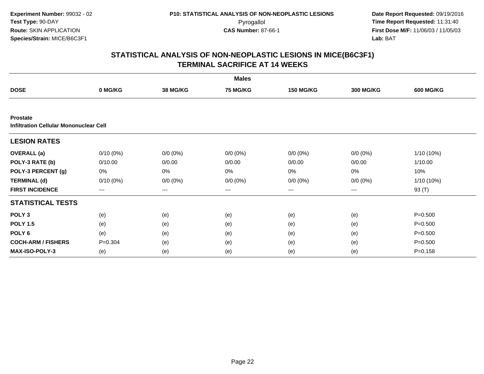|                                                           |                        |             | <b>Males</b> |                   |                  |                  |
|-----------------------------------------------------------|------------------------|-------------|--------------|-------------------|------------------|------------------|
| <b>DOSE</b>                                               | 0 MG/KG                | 38 MG/KG    | 75 MG/KG     | <b>150 MG/KG</b>  | <b>300 MG/KG</b> | <b>600 MG/KG</b> |
|                                                           |                        |             |              |                   |                  |                  |
| <b>Prostate</b><br>Infiltration Cellular Mononuclear Cell |                        |             |              |                   |                  |                  |
| <b>LESION RATES</b>                                       |                        |             |              |                   |                  |                  |
| <b>OVERALL</b> (a)                                        | $0/10(0\%)$            | $0/0 (0\%)$ | $0/0 (0\%)$  | $0/0 (0\%)$       | $0/0 (0\%)$      | 1/10 (10%)       |
| POLY-3 RATE (b)                                           | 0/10.00                | 0/0.00      | 0/0.00       | 0/0.00            | 0/0.00           | 1/10.00          |
| POLY-3 PERCENT (g)                                        | 0%                     | 0%          | 0%           | 0%                | $0\%$            | 10%              |
| <b>TERMINAL (d)</b>                                       | $0/10(0\%)$            | $0/0 (0\%)$ | $0/0 (0\%)$  | $0/0 (0\%)$       | $0/0 (0\%)$      | 1/10 (10%)       |
| <b>FIRST INCIDENCE</b>                                    | $\qquad \qquad \cdots$ | $---$       | ---          | $\qquad \qquad -$ | $---$            | 93 (T)           |
| <b>STATISTICAL TESTS</b>                                  |                        |             |              |                   |                  |                  |
| POLY <sub>3</sub>                                         | (e)                    | (e)         | (e)          | (e)               | (e)              | $P = 0.500$      |
| <b>POLY 1.5</b>                                           | (e)                    | (e)         | (e)          | (e)               | (e)              | $P = 0.500$      |
| POLY <sub>6</sub>                                         | (e)                    | (e)         | (e)          | (e)               | (e)              | $P = 0.500$      |
| <b>COCH-ARM / FISHERS</b>                                 | $P = 0.304$            | (e)         | (e)          | (e)               | (e)              | $P = 0.500$      |
| <b>MAX-ISO-POLY-3</b>                                     | (e)                    | (e)         | (e)          | (e)               | (e)              | $P = 0.158$      |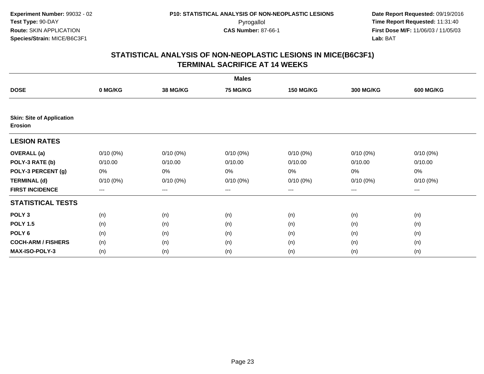|                                             |                        |                 | <b>Males</b>    |                   |                  |                  |
|---------------------------------------------|------------------------|-----------------|-----------------|-------------------|------------------|------------------|
| <b>DOSE</b>                                 | 0 MG/KG                | <b>38 MG/KG</b> | <b>75 MG/KG</b> | <b>150 MG/KG</b>  | <b>300 MG/KG</b> | <b>600 MG/KG</b> |
|                                             |                        |                 |                 |                   |                  |                  |
| <b>Skin: Site of Application</b><br>Erosion |                        |                 |                 |                   |                  |                  |
| <b>LESION RATES</b>                         |                        |                 |                 |                   |                  |                  |
| <b>OVERALL</b> (a)                          | $0/10(0\%)$            | $0/10(0\%)$     | $0/10(0\%)$     | $0/10(0\%)$       | $0/10(0\%)$      | $0/10(0\%)$      |
| POLY-3 RATE (b)                             | 0/10.00                | 0/10.00         | 0/10.00         | 0/10.00           | 0/10.00          | 0/10.00          |
| POLY-3 PERCENT (g)                          | 0%                     | 0%              | 0%              | 0%                | $0\%$            | 0%               |
| <b>TERMINAL (d)</b>                         | $0/10(0\%)$            | $0/10(0\%)$     | $0/10(0\%)$     | $0/10(0\%)$       | $0/10(0\%)$      | $0/10(0\%)$      |
| <b>FIRST INCIDENCE</b>                      | $\qquad \qquad \cdots$ | $---$           | ---             | $\qquad \qquad -$ | $---$            | $---$            |
| <b>STATISTICAL TESTS</b>                    |                        |                 |                 |                   |                  |                  |
| POLY <sub>3</sub>                           | (n)                    | (n)             | (n)             | (n)               | (n)              | (n)              |
| <b>POLY 1.5</b>                             | (n)                    | (n)             | (n)             | (n)               | (n)              | (n)              |
| POLY <sub>6</sub>                           | (n)                    | (n)             | (n)             | (n)               | (n)              | (n)              |
| <b>COCH-ARM / FISHERS</b>                   | (n)                    | (n)             | (n)             | (n)               | (n)              | (n)              |
| MAX-ISO-POLY-3                              | (n)                    | (n)             | (n)             | (n)               | (n)              | (n)              |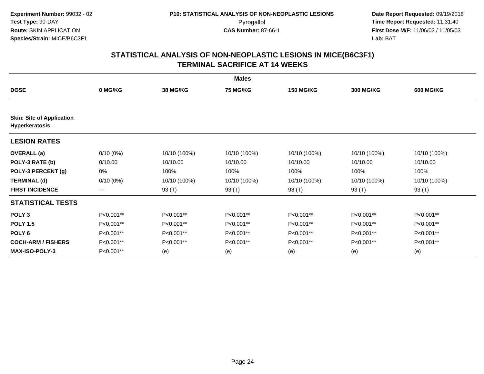|                                                           | <b>Males</b> |                 |                 |                  |                  |                  |  |  |  |
|-----------------------------------------------------------|--------------|-----------------|-----------------|------------------|------------------|------------------|--|--|--|
| <b>DOSE</b>                                               | 0 MG/KG      | <b>38 MG/KG</b> | <b>75 MG/KG</b> | <b>150 MG/KG</b> | <b>300 MG/KG</b> | <b>600 MG/KG</b> |  |  |  |
|                                                           |              |                 |                 |                  |                  |                  |  |  |  |
| <b>Skin: Site of Application</b><br><b>Hyperkeratosis</b> |              |                 |                 |                  |                  |                  |  |  |  |
| <b>LESION RATES</b>                                       |              |                 |                 |                  |                  |                  |  |  |  |
| <b>OVERALL</b> (a)                                        | $0/10(0\%)$  | 10/10 (100%)    | 10/10 (100%)    | 10/10 (100%)     | 10/10 (100%)     | 10/10 (100%)     |  |  |  |
| POLY-3 RATE (b)                                           | 0/10.00      | 10/10.00        | 10/10.00        | 10/10.00         | 10/10.00         | 10/10.00         |  |  |  |
| POLY-3 PERCENT (g)                                        | 0%           | 100%            | 100%            | 100%             | 100%             | 100%             |  |  |  |
| <b>TERMINAL (d)</b>                                       | $0/10(0\%)$  | 10/10 (100%)    | 10/10 (100%)    | 10/10 (100%)     | 10/10 (100%)     | 10/10 (100%)     |  |  |  |
| <b>FIRST INCIDENCE</b>                                    | $\cdots$     | 93 (T)          | 93 (T)          | 93 (T)           | 93 (T)           | 93 (T)           |  |  |  |
| <b>STATISTICAL TESTS</b>                                  |              |                 |                 |                  |                  |                  |  |  |  |
| POLY <sub>3</sub>                                         | P<0.001**    | P<0.001**       | P<0.001**       | P<0.001**        | P<0.001**        | P<0.001**        |  |  |  |
| <b>POLY 1.5</b>                                           | P<0.001**    | P<0.001**       | P<0.001**       | P<0.001**        | P<0.001**        | P<0.001**        |  |  |  |
| POLY <sub>6</sub>                                         | P<0.001**    | $P<0.001**$     | P<0.001**       | P<0.001**        | P<0.001**        | P<0.001**        |  |  |  |
| <b>COCH-ARM / FISHERS</b>                                 | P<0.001**    | P<0.001**       | P<0.001**       | P<0.001**        | P<0.001**        | P<0.001**        |  |  |  |
| <b>MAX-ISO-POLY-3</b>                                     | P<0.001**    | (e)             | (e)             | (e)              | (e)              | (e)              |  |  |  |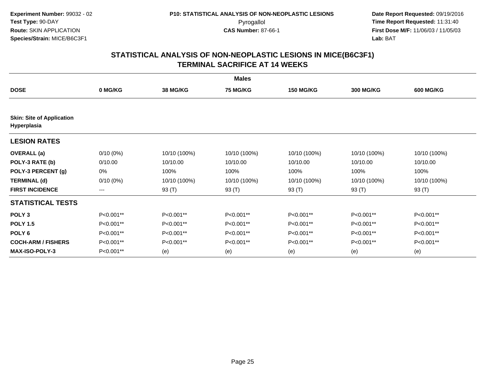|                                  | <b>Males</b> |              |                 |                  |                  |                  |  |  |  |
|----------------------------------|--------------|--------------|-----------------|------------------|------------------|------------------|--|--|--|
| <b>DOSE</b>                      | 0 MG/KG      | 38 MG/KG     | <b>75 MG/KG</b> | <b>150 MG/KG</b> | <b>300 MG/KG</b> | <b>600 MG/KG</b> |  |  |  |
| <b>Skin: Site of Application</b> |              |              |                 |                  |                  |                  |  |  |  |
| Hyperplasia                      |              |              |                 |                  |                  |                  |  |  |  |
| <b>LESION RATES</b>              |              |              |                 |                  |                  |                  |  |  |  |
| <b>OVERALL</b> (a)               | $0/10(0\%)$  | 10/10 (100%) | 10/10 (100%)    | 10/10 (100%)     | 10/10 (100%)     | 10/10 (100%)     |  |  |  |
| POLY-3 RATE (b)                  | 0/10.00      | 10/10.00     | 10/10.00        | 10/10.00         | 10/10.00         | 10/10.00         |  |  |  |
| POLY-3 PERCENT (g)               | 0%           | 100%         | 100%            | 100%             | 100%             | 100%             |  |  |  |
| <b>TERMINAL (d)</b>              | $0/10(0\%)$  | 10/10 (100%) | 10/10 (100%)    | 10/10 (100%)     | 10/10 (100%)     | 10/10 (100%)     |  |  |  |
| <b>FIRST INCIDENCE</b>           | $\cdots$     | 93 (T)       | 93 (T)          | 93 (T)           | 93 (T)           | 93 (T)           |  |  |  |
| <b>STATISTICAL TESTS</b>         |              |              |                 |                  |                  |                  |  |  |  |
| POLY <sub>3</sub>                | P<0.001**    | P<0.001**    | P<0.001**       | P<0.001**        | P<0.001**        | P<0.001**        |  |  |  |
| <b>POLY 1.5</b>                  | P<0.001**    | P<0.001**    | P<0.001**       | P<0.001**        | P<0.001**        | P<0.001**        |  |  |  |
| POLY <sub>6</sub>                | P<0.001**    | P<0.001**    | P<0.001**       | P<0.001**        | P<0.001**        | P<0.001**        |  |  |  |
| <b>COCH-ARM / FISHERS</b>        | P<0.001**    | P<0.001**    | P<0.001**       | P<0.001**        | P<0.001**        | P<0.001**        |  |  |  |
| <b>MAX-ISO-POLY-3</b>            | P<0.001**    | (e)          | (e)             | (e)              | (e)              | (e)              |  |  |  |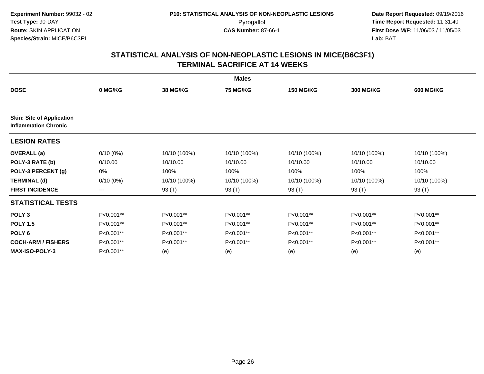|                                  | <b>Males</b> |              |                 |                  |                  |                  |  |  |  |
|----------------------------------|--------------|--------------|-----------------|------------------|------------------|------------------|--|--|--|
| <b>DOSE</b>                      | 0 MG/KG      | 38 MG/KG     | <b>75 MG/KG</b> | <b>150 MG/KG</b> | <b>300 MG/KG</b> | <b>600 MG/KG</b> |  |  |  |
| <b>Skin: Site of Application</b> |              |              |                 |                  |                  |                  |  |  |  |
| <b>Inflammation Chronic</b>      |              |              |                 |                  |                  |                  |  |  |  |
| <b>LESION RATES</b>              |              |              |                 |                  |                  |                  |  |  |  |
| <b>OVERALL</b> (a)               | $0/10(0\%)$  | 10/10 (100%) | 10/10 (100%)    | 10/10 (100%)     | 10/10 (100%)     | 10/10 (100%)     |  |  |  |
| POLY-3 RATE (b)                  | 0/10.00      | 10/10.00     | 10/10.00        | 10/10.00         | 10/10.00         | 10/10.00         |  |  |  |
| POLY-3 PERCENT (g)               | 0%           | 100%         | 100%            | 100%             | 100%             | 100%             |  |  |  |
| <b>TERMINAL (d)</b>              | $0/10(0\%)$  | 10/10 (100%) | 10/10 (100%)    | 10/10 (100%)     | 10/10 (100%)     | 10/10 (100%)     |  |  |  |
| <b>FIRST INCIDENCE</b>           | $\cdots$     | 93 (T)       | 93 (T)          | 93 (T)           | 93 (T)           | 93 (T)           |  |  |  |
| <b>STATISTICAL TESTS</b>         |              |              |                 |                  |                  |                  |  |  |  |
| POLY <sub>3</sub>                | P<0.001**    | P<0.001**    | P<0.001**       | P<0.001**        | P<0.001**        | P<0.001**        |  |  |  |
| <b>POLY 1.5</b>                  | P<0.001**    | P<0.001**    | P<0.001**       | P<0.001**        | P<0.001**        | P<0.001**        |  |  |  |
| POLY <sub>6</sub>                | P<0.001**    | P<0.001**    | P<0.001**       | P<0.001**        | P<0.001**        | P<0.001**        |  |  |  |
| <b>COCH-ARM / FISHERS</b>        | P<0.001**    | P<0.001**    | P<0.001**       | P<0.001**        | P<0.001**        | P<0.001**        |  |  |  |
| <b>MAX-ISO-POLY-3</b>            | P<0.001**    | (e)          | (e)             | (e)              | (e)              | (e)              |  |  |  |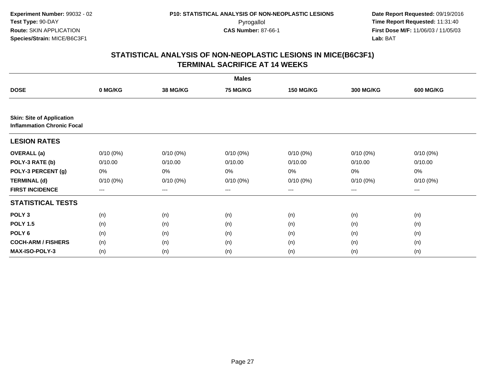|                                                                       |             |                 | <b>Males</b>    |                   |                  |                  |
|-----------------------------------------------------------------------|-------------|-----------------|-----------------|-------------------|------------------|------------------|
| <b>DOSE</b>                                                           | 0 MG/KG     | <b>38 MG/KG</b> | <b>75 MG/KG</b> | <b>150 MG/KG</b>  | <b>300 MG/KG</b> | <b>600 MG/KG</b> |
|                                                                       |             |                 |                 |                   |                  |                  |
| <b>Skin: Site of Application</b><br><b>Inflammation Chronic Focal</b> |             |                 |                 |                   |                  |                  |
| <b>LESION RATES</b>                                                   |             |                 |                 |                   |                  |                  |
| <b>OVERALL</b> (a)                                                    | $0/10(0\%)$ | $0/10(0\%)$     | $0/10(0\%)$     | $0/10(0\%)$       | $0/10(0\%)$      | $0/10(0\%)$      |
| POLY-3 RATE (b)                                                       | 0/10.00     | 0/10.00         | 0/10.00         | 0/10.00           | 0/10.00          | 0/10.00          |
| POLY-3 PERCENT (g)                                                    | 0%          | 0%              | 0%              | 0%                | 0%               | 0%               |
| <b>TERMINAL (d)</b>                                                   | $0/10(0\%)$ | $0/10(0\%)$     | $0/10(0\%)$     | $0/10(0\%)$       | $0/10(0\%)$      | $0/10(0\%)$      |
| <b>FIRST INCIDENCE</b>                                                | $---$       | ---             | ---             | $\qquad \qquad -$ | ---              | $---$            |
| <b>STATISTICAL TESTS</b>                                              |             |                 |                 |                   |                  |                  |
| POLY <sub>3</sub>                                                     | (n)         | (n)             | (n)             | (n)               | (n)              | (n)              |
| <b>POLY 1.5</b>                                                       | (n)         | (n)             | (n)             | (n)               | (n)              | (n)              |
| POLY <sub>6</sub>                                                     | (n)         | (n)             | (n)             | (n)               | (n)              | (n)              |
| <b>COCH-ARM / FISHERS</b>                                             | (n)         | (n)             | (n)             | (n)               | (n)              | (n)              |
| MAX-ISO-POLY-3                                                        | (n)         | (n)             | (n)             | (n)               | (n)              | (n)              |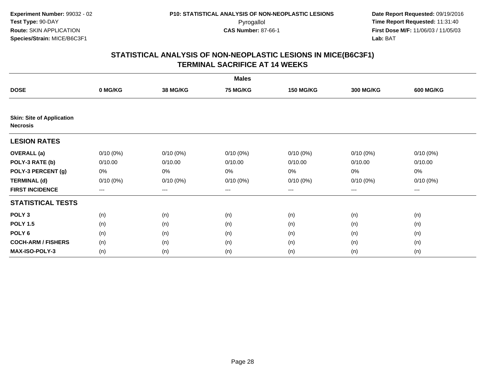|                                                     |                        |                 | <b>Males</b>    |                   |                  |                  |
|-----------------------------------------------------|------------------------|-----------------|-----------------|-------------------|------------------|------------------|
| <b>DOSE</b>                                         | 0 MG/KG                | <b>38 MG/KG</b> | <b>75 MG/KG</b> | <b>150 MG/KG</b>  | <b>300 MG/KG</b> | <b>600 MG/KG</b> |
|                                                     |                        |                 |                 |                   |                  |                  |
| <b>Skin: Site of Application</b><br><b>Necrosis</b> |                        |                 |                 |                   |                  |                  |
| <b>LESION RATES</b>                                 |                        |                 |                 |                   |                  |                  |
| <b>OVERALL</b> (a)                                  | $0/10(0\%)$            | $0/10(0\%)$     | $0/10(0\%)$     | $0/10(0\%)$       | $0/10(0\%)$      | $0/10(0\%)$      |
| POLY-3 RATE (b)                                     | 0/10.00                | 0/10.00         | 0/10.00         | 0/10.00           | 0/10.00          | 0/10.00          |
| POLY-3 PERCENT (g)                                  | 0%                     | 0%              | 0%              | 0%                | $0\%$            | 0%               |
| <b>TERMINAL (d)</b>                                 | $0/10(0\%)$            | $0/10(0\%)$     | $0/10(0\%)$     | $0/10(0\%)$       | $0/10(0\%)$      | $0/10(0\%)$      |
| <b>FIRST INCIDENCE</b>                              | $\qquad \qquad \cdots$ | $---$           | ---             | $\qquad \qquad -$ | $---$            | $---$            |
| <b>STATISTICAL TESTS</b>                            |                        |                 |                 |                   |                  |                  |
| POLY <sub>3</sub>                                   | (n)                    | (n)             | (n)             | (n)               | (n)              | (n)              |
| <b>POLY 1.5</b>                                     | (n)                    | (n)             | (n)             | (n)               | (n)              | (n)              |
| POLY <sub>6</sub>                                   | (n)                    | (n)             | (n)             | (n)               | (n)              | (n)              |
| <b>COCH-ARM / FISHERS</b>                           | (n)                    | (n)             | (n)             | (n)               | (n)              | (n)              |
| MAX-ISO-POLY-3                                      | (n)                    | (n)             | (n)             | (n)               | (n)              | (n)              |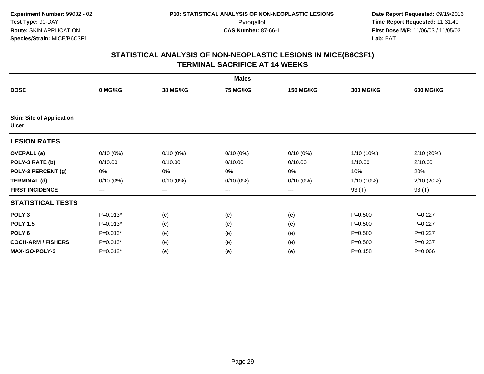|                                                  |                        |                        | <b>Males</b>    |                  |                  |                  |
|--------------------------------------------------|------------------------|------------------------|-----------------|------------------|------------------|------------------|
| <b>DOSE</b>                                      | 0 MG/KG                | <b>38 MG/KG</b>        | <b>75 MG/KG</b> | <b>150 MG/KG</b> | <b>300 MG/KG</b> | <b>600 MG/KG</b> |
|                                                  |                        |                        |                 |                  |                  |                  |
| <b>Skin: Site of Application</b><br><b>Ulcer</b> |                        |                        |                 |                  |                  |                  |
| <b>LESION RATES</b>                              |                        |                        |                 |                  |                  |                  |
| <b>OVERALL</b> (a)                               | $0/10(0\%)$            | $0/10(0\%)$            | $0/10(0\%)$     | $0/10(0\%)$      | 1/10 (10%)       | 2/10 (20%)       |
| POLY-3 RATE (b)                                  | 0/10.00                | 0/10.00                | 0/10.00         | 0/10.00          | 1/10.00          | 2/10.00          |
| POLY-3 PERCENT (g)                               | 0%                     | 0%                     | 0%              | 0%               | 10%              | 20%              |
| <b>TERMINAL (d)</b>                              | $0/10(0\%)$            | $0/10(0\%)$            | $0/10(0\%)$     | $0/10(0\%)$      | 1/10 (10%)       | 2/10 (20%)       |
| <b>FIRST INCIDENCE</b>                           | $\qquad \qquad \cdots$ | $\qquad \qquad \cdots$ | ---             | ---              | 93 (T)           | 93 (T)           |
| <b>STATISTICAL TESTS</b>                         |                        |                        |                 |                  |                  |                  |
| POLY <sub>3</sub>                                | $P=0.013*$             | (e)                    | (e)             | (e)              | $P = 0.500$      | $P=0.227$        |
| <b>POLY 1.5</b>                                  | $P=0.013*$             | (e)                    | (e)             | (e)              | $P = 0.500$      | $P=0.227$        |
| POLY <sub>6</sub>                                | $P=0.013*$             | (e)                    | (e)             | (e)              | $P = 0.500$      | $P=0.227$        |
| <b>COCH-ARM / FISHERS</b>                        | $P=0.013*$             | (e)                    | (e)             | (e)              | $P = 0.500$      | $P = 0.237$      |
| <b>MAX-ISO-POLY-3</b>                            | $P=0.012*$             | (e)                    | (e)             | (e)              | $P = 0.158$      | $P = 0.066$      |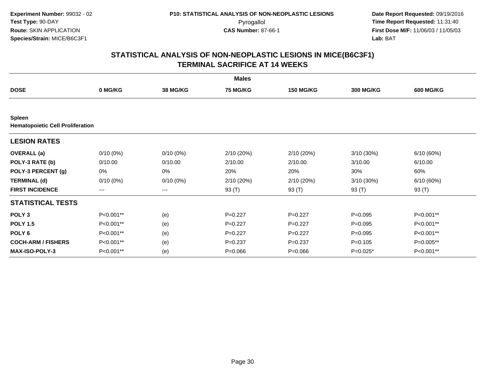|                                                          |                   |                 | <b>Males</b>    |                  |                  |                  |
|----------------------------------------------------------|-------------------|-----------------|-----------------|------------------|------------------|------------------|
| <b>DOSE</b>                                              | 0 MG/KG           | <b>38 MG/KG</b> | <b>75 MG/KG</b> | <b>150 MG/KG</b> | <b>300 MG/KG</b> | <b>600 MG/KG</b> |
|                                                          |                   |                 |                 |                  |                  |                  |
| <b>Spleen</b><br><b>Hematopoietic Cell Proliferation</b> |                   |                 |                 |                  |                  |                  |
| <b>LESION RATES</b>                                      |                   |                 |                 |                  |                  |                  |
| <b>OVERALL</b> (a)                                       | 0/10(0%)          | $0/10(0\%)$     | 2/10 (20%)      | 2/10 (20%)       | 3/10(30%)        | 6/10 (60%)       |
| POLY-3 RATE (b)                                          | 0/10.00           | 0/10.00         | 2/10.00         | 2/10.00          | 3/10.00          | 6/10.00          |
| POLY-3 PERCENT (g)                                       | 0%                | 0%              | 20%             | 20%              | 30%              | 60%              |
| <b>TERMINAL (d)</b>                                      | $0/10(0\%)$       | $0/10(0\%)$     | 2/10 (20%)      | 2/10 (20%)       | $3/10(30\%)$     | 6/10 (60%)       |
| <b>FIRST INCIDENCE</b>                                   | $\qquad \qquad -$ | ---             | 93 (T)          | 93 (T)           | 93 (T)           | 93 (T)           |
| <b>STATISTICAL TESTS</b>                                 |                   |                 |                 |                  |                  |                  |
| POLY <sub>3</sub>                                        | P<0.001**         | (e)             | $P=0.227$       | $P=0.227$        | $P = 0.095$      | P<0.001**        |
| <b>POLY 1.5</b>                                          | P<0.001**         | (e)             | $P=0.227$       | $P=0.227$        | $P = 0.095$      | P<0.001**        |
| POLY <sub>6</sub>                                        | P<0.001**         | (e)             | $P=0.227$       | $P=0.227$        | $P = 0.095$      | P<0.001**        |
| <b>COCH-ARM / FISHERS</b>                                | P<0.001**         | (e)             | $P=0.237$       | $P=0.237$        | $P=0.105$        | P=0.005**        |
| <b>MAX-ISO-POLY-3</b>                                    | P<0.001**         | (e)             | $P = 0.066$     | $P = 0.066$      | $P=0.025*$       | P<0.001**        |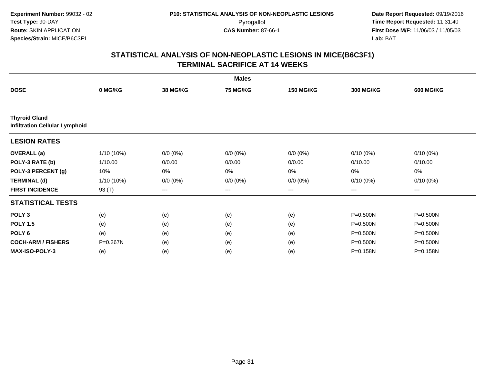|                                                               |              |                 | <b>Males</b>    |                   |                  |                  |
|---------------------------------------------------------------|--------------|-----------------|-----------------|-------------------|------------------|------------------|
| <b>DOSE</b>                                                   | 0 MG/KG      | <b>38 MG/KG</b> | <b>75 MG/KG</b> | <b>150 MG/KG</b>  | <b>300 MG/KG</b> | <b>600 MG/KG</b> |
|                                                               |              |                 |                 |                   |                  |                  |
| <b>Thyroid Gland</b><br><b>Infiltration Cellular Lymphoid</b> |              |                 |                 |                   |                  |                  |
| <b>LESION RATES</b>                                           |              |                 |                 |                   |                  |                  |
| <b>OVERALL</b> (a)                                            | 1/10 (10%)   | $0/0 (0\%)$     | $0/0 (0\%)$     | $0/0 (0\%)$       | $0/10(0\%)$      | $0/10(0\%)$      |
| POLY-3 RATE (b)                                               | 1/10.00      | 0/0.00          | 0/0.00          | 0/0.00            | 0/10.00          | 0/10.00          |
| POLY-3 PERCENT (g)                                            | 10%          | 0%              | 0%              | 0%                | 0%               | 0%               |
| <b>TERMINAL (d)</b>                                           | $1/10(10\%)$ | $0/0 (0\%)$     | $0/0 (0\%)$     | $0/0 (0\%)$       | $0/10(0\%)$      | $0/10(0\%)$      |
| <b>FIRST INCIDENCE</b>                                        | 93 (T)       | $---$           | ---             | $\qquad \qquad -$ | $---$            | $---$            |
| <b>STATISTICAL TESTS</b>                                      |              |                 |                 |                   |                  |                  |
| POLY <sub>3</sub>                                             | (e)          | (e)             | (e)             | (e)               | $P = 0.500N$     | P=0.500N         |
| <b>POLY 1.5</b>                                               | (e)          | (e)             | (e)             | (e)               | $P = 0.500N$     | $P = 0.500N$     |
| POLY <sub>6</sub>                                             | (e)          | (e)             | (e)             | (e)               | $P = 0.500N$     | $P = 0.500N$     |
| <b>COCH-ARM / FISHERS</b>                                     | P=0.267N     | (e)             | (e)             | (e)               | $P = 0.500N$     | P=0.500N         |
| <b>MAX-ISO-POLY-3</b>                                         | (e)          | (e)             | (e)             | (e)               | P=0.158N         | P=0.158N         |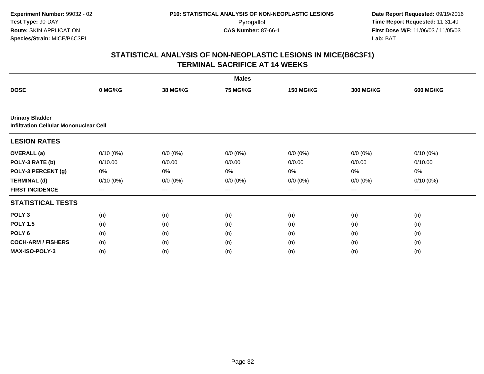|                                                                         |             |                 | <b>Males</b>    |                  |                  |                  |
|-------------------------------------------------------------------------|-------------|-----------------|-----------------|------------------|------------------|------------------|
| <b>DOSE</b>                                                             | 0 MG/KG     | <b>38 MG/KG</b> | <b>75 MG/KG</b> | <b>150 MG/KG</b> | <b>300 MG/KG</b> | <b>600 MG/KG</b> |
|                                                                         |             |                 |                 |                  |                  |                  |
| <b>Urinary Bladder</b><br><b>Infiltration Cellular Mononuclear Cell</b> |             |                 |                 |                  |                  |                  |
| <b>LESION RATES</b>                                                     |             |                 |                 |                  |                  |                  |
| <b>OVERALL</b> (a)                                                      | $0/10(0\%)$ | $0/0 (0\%)$     | $0/0 (0\%)$     | $0/0 (0\%)$      | $0/0 (0\%)$      | $0/10(0\%)$      |
| POLY-3 RATE (b)                                                         | 0/10.00     | 0/0.00          | 0/0.00          | 0/0.00           | 0/0.00           | 0/10.00          |
| POLY-3 PERCENT (g)                                                      | 0%          | $0\%$           | 0%              | 0%               | $0\%$            | 0%               |
| <b>TERMINAL (d)</b>                                                     | $0/10(0\%)$ | $0/0 (0\%)$     | $0/0 (0\%)$     | $0/0 (0\%)$      | $0/0 (0\%)$      | $0/10(0\%)$      |
| <b>FIRST INCIDENCE</b>                                                  | $---$       | $---$           | ---             | $---$            | ---              | $--$             |
| <b>STATISTICAL TESTS</b>                                                |             |                 |                 |                  |                  |                  |
| POLY <sub>3</sub>                                                       | (n)         | (n)             | (n)             | (n)              | (n)              | (n)              |
| <b>POLY 1.5</b>                                                         | (n)         | (n)             | (n)             | (n)              | (n)              | (n)              |
| POLY <sub>6</sub>                                                       | (n)         | (n)             | (n)             | (n)              | (n)              | (n)              |
| <b>COCH-ARM / FISHERS</b>                                               | (n)         | (n)             | (n)             | (n)              | (n)              | (n)              |
| <b>MAX-ISO-POLY-3</b>                                                   | (n)         | (n)             | (n)             | (n)              | (n)              | (n)              |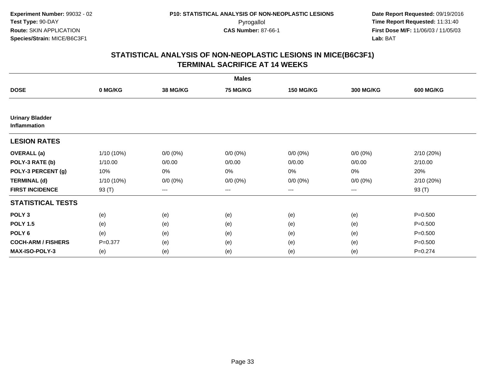|                                        |             |                 | <b>Males</b>    |                  |                  |                  |
|----------------------------------------|-------------|-----------------|-----------------|------------------|------------------|------------------|
| <b>DOSE</b>                            | 0 MG/KG     | <b>38 MG/KG</b> | <b>75 MG/KG</b> | <b>150 MG/KG</b> | <b>300 MG/KG</b> | <b>600 MG/KG</b> |
|                                        |             |                 |                 |                  |                  |                  |
| <b>Urinary Bladder</b><br>Inflammation |             |                 |                 |                  |                  |                  |
| <b>LESION RATES</b>                    |             |                 |                 |                  |                  |                  |
| <b>OVERALL</b> (a)                     | 1/10 (10%)  | $0/0 (0\%)$     | $0/0 (0\%)$     | $0/0 (0\%)$      | $0/0 (0\%)$      | 2/10 (20%)       |
| POLY-3 RATE (b)                        | 1/10.00     | 0/0.00          | 0/0.00          | 0/0.00           | 0/0.00           | 2/10.00          |
| POLY-3 PERCENT (g)                     | 10%         | 0%              | 0%              | 0%               | 0%               | 20%              |
| <b>TERMINAL (d)</b>                    | 1/10 (10%)  | $0/0 (0\%)$     | $0/0 (0\%)$     | $0/0 (0\%)$      | $0/0 (0\%)$      | 2/10 (20%)       |
| <b>FIRST INCIDENCE</b>                 | 93 (T)      | $--$            | ---             | $--$             | ---              | 93 (T)           |
| <b>STATISTICAL TESTS</b>               |             |                 |                 |                  |                  |                  |
| POLY <sub>3</sub>                      | (e)         | (e)             | (e)             | (e)              | (e)              | $P = 0.500$      |
| <b>POLY 1.5</b>                        | (e)         | (e)             | (e)             | (e)              | (e)              | $P = 0.500$      |
| POLY 6                                 | (e)         | (e)             | (e)             | (e)              | (e)              | $P = 0.500$      |
| <b>COCH-ARM / FISHERS</b>              | $P = 0.377$ | (e)             | (e)             | (e)              | (e)              | $P = 0.500$      |
| <b>MAX-ISO-POLY-3</b>                  | (e)         | (e)             | (e)             | (e)              | (e)              | $P = 0.274$      |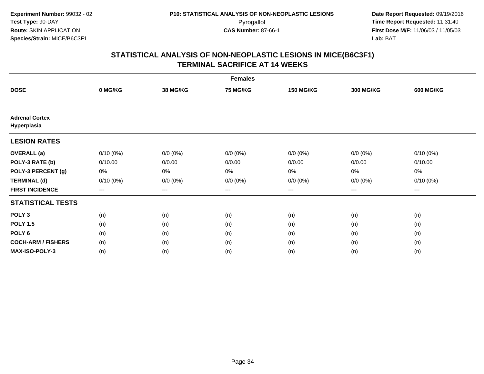|                                      | <b>Females</b> |                 |                 |                  |                  |                  |  |  |  |
|--------------------------------------|----------------|-----------------|-----------------|------------------|------------------|------------------|--|--|--|
| <b>DOSE</b>                          | 0 MG/KG        | <b>38 MG/KG</b> | <b>75 MG/KG</b> | <b>150 MG/KG</b> | <b>300 MG/KG</b> | <b>600 MG/KG</b> |  |  |  |
|                                      |                |                 |                 |                  |                  |                  |  |  |  |
| <b>Adrenal Cortex</b><br>Hyperplasia |                |                 |                 |                  |                  |                  |  |  |  |
| <b>LESION RATES</b>                  |                |                 |                 |                  |                  |                  |  |  |  |
| <b>OVERALL</b> (a)                   | $0/10(0\%)$    | $0/0 (0\%)$     | $0/0 (0\%)$     | $0/0 (0\%)$      | $0/0 (0\%)$      | $0/10(0\%)$      |  |  |  |
| POLY-3 RATE (b)                      | 0/10.00        | 0/0.00          | 0/0.00          | 0/0.00           | 0/0.00           | 0/10.00          |  |  |  |
| POLY-3 PERCENT (g)                   | 0%             | 0%              | 0%              | 0%               | $0\%$            | 0%               |  |  |  |
| <b>TERMINAL (d)</b>                  | $0/10(0\%)$    | $0/0 (0\%)$     | $0/0 (0\%)$     | $0/0 (0\%)$      | $0/0 (0\%)$      | $0/10(0\%)$      |  |  |  |
| <b>FIRST INCIDENCE</b>               | $---$          | $---$           | $---$           | $\cdots$         | $\cdots$         | ---              |  |  |  |
| <b>STATISTICAL TESTS</b>             |                |                 |                 |                  |                  |                  |  |  |  |
| POLY <sub>3</sub>                    | (n)            | (n)             | (n)             | (n)              | (n)              | (n)              |  |  |  |
| <b>POLY 1.5</b>                      | (n)            | (n)             | (n)             | (n)              | (n)              | (n)              |  |  |  |
| POLY 6                               | (n)            | (n)             | (n)             | (n)              | (n)              | (n)              |  |  |  |
| <b>COCH-ARM / FISHERS</b>            | (n)            | (n)             | (n)             | (n)              | (n)              | (n)              |  |  |  |
| MAX-ISO-POLY-3                       | (n)            | (n)             | (n)             | (n)              | (n)              | (n)              |  |  |  |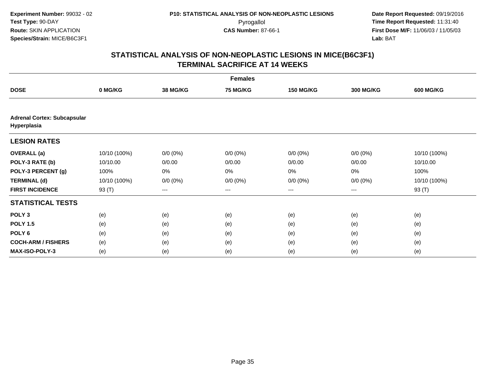|                                                   | <b>Females</b> |                        |             |                   |                  |                  |  |  |
|---------------------------------------------------|----------------|------------------------|-------------|-------------------|------------------|------------------|--|--|
| <b>DOSE</b>                                       | 0 MG/KG        | <b>38 MG/KG</b>        | 75 MG/KG    | <b>150 MG/KG</b>  | <b>300 MG/KG</b> | <b>600 MG/KG</b> |  |  |
|                                                   |                |                        |             |                   |                  |                  |  |  |
| <b>Adrenal Cortex: Subcapsular</b><br>Hyperplasia |                |                        |             |                   |                  |                  |  |  |
| <b>LESION RATES</b>                               |                |                        |             |                   |                  |                  |  |  |
| <b>OVERALL</b> (a)                                | 10/10 (100%)   | $0/0 (0\%)$            | $0/0 (0\%)$ | $0/0 (0\%)$       | $0/0 (0\%)$      | 10/10 (100%)     |  |  |
| POLY-3 RATE (b)                                   | 10/10.00       | 0/0.00                 | 0/0.00      | 0/0.00            | 0/0.00           | 10/10.00         |  |  |
| POLY-3 PERCENT (g)                                | 100%           | 0%                     | 0%          | 0%                | 0%               | 100%             |  |  |
| <b>TERMINAL (d)</b>                               | 10/10 (100%)   | $0/0 (0\%)$            | $0/0 (0\%)$ | $0/0 (0\%)$       | $0/0 (0\%)$      | 10/10 (100%)     |  |  |
| <b>FIRST INCIDENCE</b>                            | 93 (T)         | $\qquad \qquad \cdots$ | ---         | $\qquad \qquad -$ | ---              | 93 (T)           |  |  |
| <b>STATISTICAL TESTS</b>                          |                |                        |             |                   |                  |                  |  |  |
| POLY <sub>3</sub>                                 | (e)            | (e)                    | (e)         | (e)               | (e)              | (e)              |  |  |
| <b>POLY 1.5</b>                                   | (e)            | (e)                    | (e)         | (e)               | (e)              | (e)              |  |  |
| POLY <sub>6</sub>                                 | (e)            | (e)                    | (e)         | (e)               | (e)              | (e)              |  |  |
| <b>COCH-ARM / FISHERS</b>                         | (e)            | (e)                    | (e)         | (e)               | (e)              | (e)              |  |  |
| MAX-ISO-POLY-3                                    | (e)            | (e)                    | (e)         | (e)               | (e)              | (e)              |  |  |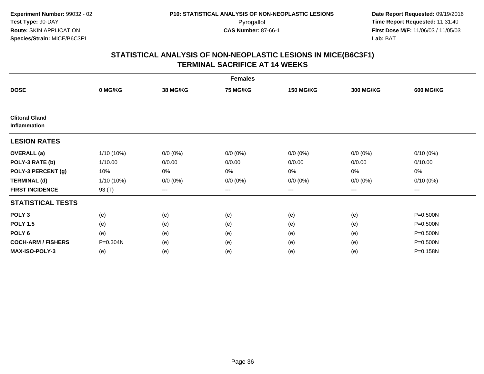|                                       | <b>Females</b> |                 |                 |                  |                  |                  |  |  |  |
|---------------------------------------|----------------|-----------------|-----------------|------------------|------------------|------------------|--|--|--|
| <b>DOSE</b>                           | 0 MG/KG        | <b>38 MG/KG</b> | <b>75 MG/KG</b> | <b>150 MG/KG</b> | <b>300 MG/KG</b> | <b>600 MG/KG</b> |  |  |  |
|                                       |                |                 |                 |                  |                  |                  |  |  |  |
| <b>Clitoral Gland</b><br>Inflammation |                |                 |                 |                  |                  |                  |  |  |  |
| <b>LESION RATES</b>                   |                |                 |                 |                  |                  |                  |  |  |  |
| <b>OVERALL</b> (a)                    | 1/10 (10%)     | $0/0 (0\%)$     | $0/0 (0\%)$     | $0/0 (0\%)$      | $0/0 (0\%)$      | $0/10(0\%)$      |  |  |  |
| POLY-3 RATE (b)                       | 1/10.00        | 0/0.00          | 0/0.00          | 0/0.00           | 0/0.00           | 0/10.00          |  |  |  |
| POLY-3 PERCENT (g)                    | 10%            | 0%              | 0%              | 0%               | $0\%$            | 0%               |  |  |  |
| <b>TERMINAL (d)</b>                   | 1/10 (10%)     | $0/0 (0\%)$     | $0/0 (0\%)$     | $0/0 (0\%)$      | $0/0 (0\%)$      | $0/10(0\%)$      |  |  |  |
| <b>FIRST INCIDENCE</b>                | 93 (T)         | $--$            | ---             | ---              | ---              | ---              |  |  |  |
| <b>STATISTICAL TESTS</b>              |                |                 |                 |                  |                  |                  |  |  |  |
| POLY <sub>3</sub>                     | (e)            | (e)             | (e)             | (e)              | (e)              | P=0.500N         |  |  |  |
| <b>POLY 1.5</b>                       | (e)            | (e)             | (e)             | (e)              | (e)              | P=0.500N         |  |  |  |
| POLY 6                                | (e)            | (e)             | (e)             | (e)              | (e)              | P=0.500N         |  |  |  |
| <b>COCH-ARM / FISHERS</b>             | P=0.304N       | (e)             | (e)             | (e)              | (e)              | P=0.500N         |  |  |  |
| <b>MAX-ISO-POLY-3</b>                 | (e)            | (e)             | (e)             | (e)              | (e)              | P=0.158N         |  |  |  |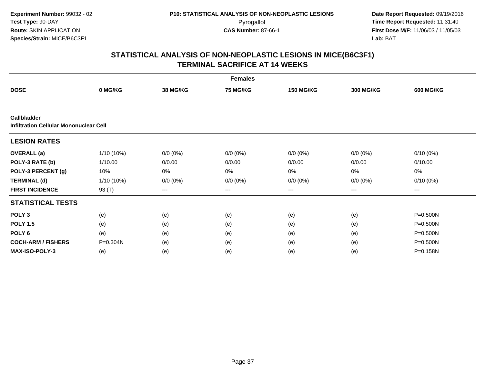| <b>Females</b>                                                      |            |                   |                 |                   |                  |                  |  |  |
|---------------------------------------------------------------------|------------|-------------------|-----------------|-------------------|------------------|------------------|--|--|
| <b>DOSE</b>                                                         | 0 MG/KG    | <b>38 MG/KG</b>   | <b>75 MG/KG</b> | <b>150 MG/KG</b>  | <b>300 MG/KG</b> | <b>600 MG/KG</b> |  |  |
|                                                                     |            |                   |                 |                   |                  |                  |  |  |
| <b>Gallbladder</b><br><b>Infiltration Cellular Mononuclear Cell</b> |            |                   |                 |                   |                  |                  |  |  |
| <b>LESION RATES</b>                                                 |            |                   |                 |                   |                  |                  |  |  |
| <b>OVERALL</b> (a)                                                  | 1/10 (10%) | $0/0 (0\%)$       | $0/0 (0\%)$     | $0/0 (0\%)$       | $0/0 (0\%)$      | $0/10(0\%)$      |  |  |
| POLY-3 RATE (b)                                                     | 1/10.00    | 0/0.00            | 0/0.00          | 0/0.00            | 0/0.00           | 0/10.00          |  |  |
| POLY-3 PERCENT (g)                                                  | 10%        | 0%                | 0%              | 0%                | $0\%$            | 0%               |  |  |
| <b>TERMINAL (d)</b>                                                 | 1/10 (10%) | $0/0 (0\%)$       | $0/0 (0\%)$     | $0/0 (0\%)$       | $0/0 (0\%)$      | $0/10(0\%)$      |  |  |
| <b>FIRST INCIDENCE</b>                                              | 93 (T)     | $\qquad \qquad -$ | ---             | $\qquad \qquad -$ | $---$            | ---              |  |  |
| <b>STATISTICAL TESTS</b>                                            |            |                   |                 |                   |                  |                  |  |  |
| POLY <sub>3</sub>                                                   | (e)        | (e)               | (e)             | (e)               | (e)              | P=0.500N         |  |  |
| <b>POLY 1.5</b>                                                     | (e)        | (e)               | (e)             | (e)               | (e)              | P=0.500N         |  |  |
| POLY <sub>6</sub>                                                   | (e)        | (e)               | (e)             | (e)               | (e)              | P=0.500N         |  |  |
| <b>COCH-ARM / FISHERS</b>                                           | P=0.304N   | (e)               | (e)             | (e)               | (e)              | P=0.500N         |  |  |
| <b>MAX-ISO-POLY-3</b>                                               | (e)        | (e)               | (e)             | (e)               | (e)              | P=0.158N         |  |  |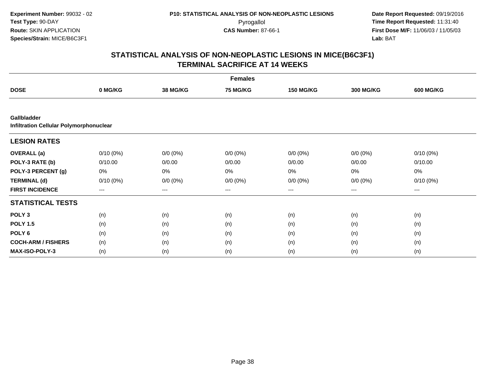|                                                        | <b>Females</b>         |                 |                 |                   |                  |                  |  |  |  |
|--------------------------------------------------------|------------------------|-----------------|-----------------|-------------------|------------------|------------------|--|--|--|
| <b>DOSE</b>                                            | 0 MG/KG                | <b>38 MG/KG</b> | <b>75 MG/KG</b> | <b>150 MG/KG</b>  | <b>300 MG/KG</b> | <b>600 MG/KG</b> |  |  |  |
|                                                        |                        |                 |                 |                   |                  |                  |  |  |  |
| Gallbladder<br>Infiltration Cellular Polymorphonuclear |                        |                 |                 |                   |                  |                  |  |  |  |
| <b>LESION RATES</b>                                    |                        |                 |                 |                   |                  |                  |  |  |  |
| <b>OVERALL</b> (a)                                     | $0/10(0\%)$            | $0/0 (0\%)$     | $0/0 (0\%)$     | $0/0 (0\%)$       | $0/0 (0\%)$      | $0/10(0\%)$      |  |  |  |
| POLY-3 RATE (b)                                        | 0/10.00                | 0/0.00          | 0/0.00          | 0/0.00            | 0/0.00           | 0/10.00          |  |  |  |
| POLY-3 PERCENT (g)                                     | 0%                     | 0%              | 0%              | 0%                | 0%               | 0%               |  |  |  |
| <b>TERMINAL (d)</b>                                    | $0/10(0\%)$            | $0/0 (0\%)$     | $0/0 (0\%)$     | $0/0 (0\%)$       | $0/0 (0\%)$      | $0/10(0\%)$      |  |  |  |
| <b>FIRST INCIDENCE</b>                                 | $\qquad \qquad \cdots$ | $---$           | ---             | $\qquad \qquad -$ | ---              | $---$            |  |  |  |
| <b>STATISTICAL TESTS</b>                               |                        |                 |                 |                   |                  |                  |  |  |  |
| POLY <sub>3</sub>                                      | (n)                    | (n)             | (n)             | (n)               | (n)              | (n)              |  |  |  |
| <b>POLY 1.5</b>                                        | (n)                    | (n)             | (n)             | (n)               | (n)              | (n)              |  |  |  |
| POLY <sub>6</sub>                                      | (n)                    | (n)             | (n)             | (n)               | (n)              | (n)              |  |  |  |
| <b>COCH-ARM / FISHERS</b>                              | (n)                    | (n)             | (n)             | (n)               | (n)              | (n)              |  |  |  |
| <b>MAX-ISO-POLY-3</b>                                  | (n)                    | (n)             | (n)             | (n)               | (n)              | (n)              |  |  |  |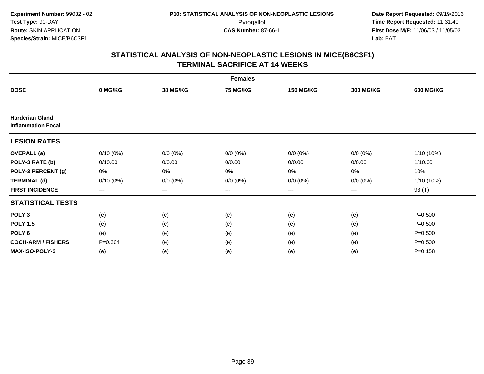| <b>Females</b>                                      |             |             |             |                  |             |                  |  |  |
|-----------------------------------------------------|-------------|-------------|-------------|------------------|-------------|------------------|--|--|
| <b>DOSE</b>                                         | 0 MG/KG     | 38 MG/KG    | 75 MG/KG    | <b>150 MG/KG</b> | 300 MG/KG   | <b>600 MG/KG</b> |  |  |
|                                                     |             |             |             |                  |             |                  |  |  |
| <b>Harderian Gland</b><br><b>Inflammation Focal</b> |             |             |             |                  |             |                  |  |  |
| <b>LESION RATES</b>                                 |             |             |             |                  |             |                  |  |  |
| <b>OVERALL</b> (a)                                  | $0/10(0\%)$ | $0/0 (0\%)$ | $0/0 (0\%)$ | $0/0 (0\%)$      | $0/0 (0\%)$ | 1/10 (10%)       |  |  |
| POLY-3 RATE (b)                                     | 0/10.00     | 0/0.00      | 0/0.00      | 0/0.00           | 0/0.00      | 1/10.00          |  |  |
| POLY-3 PERCENT (g)                                  | 0%          | 0%          | 0%          | 0%               | 0%          | 10%              |  |  |
| <b>TERMINAL (d)</b>                                 | $0/10(0\%)$ | $0/0 (0\%)$ | $0/0 (0\%)$ | $0/0 (0\%)$      | $0/0 (0\%)$ | 1/10 (10%)       |  |  |
| <b>FIRST INCIDENCE</b>                              | $---$       | $---$       | ---         | $\cdots$         | $---$       | 93 (T)           |  |  |
| <b>STATISTICAL TESTS</b>                            |             |             |             |                  |             |                  |  |  |
| POLY <sub>3</sub>                                   | (e)         | (e)         | (e)         | (e)              | (e)         | $P = 0.500$      |  |  |
| <b>POLY 1.5</b>                                     | (e)         | (e)         | (e)         | (e)              | (e)         | $P = 0.500$      |  |  |
| POLY <sub>6</sub>                                   | (e)         | (e)         | (e)         | (e)              | (e)         | $P = 0.500$      |  |  |
| <b>COCH-ARM / FISHERS</b>                           | $P = 0.304$ | (e)         | (e)         | (e)              | (e)         | $P = 0.500$      |  |  |
| <b>MAX-ISO-POLY-3</b>                               | (e)         | (e)         | (e)         | (e)              | (e)         | $P = 0.158$      |  |  |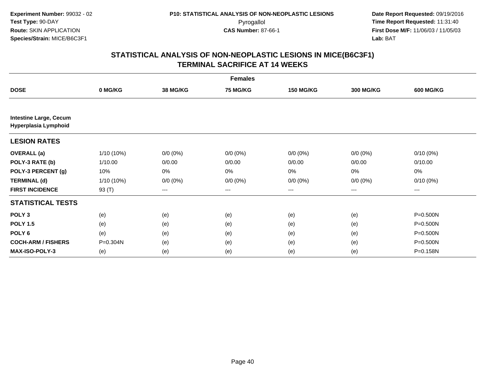| <b>Females</b>                                        |              |                 |                 |                  |                  |                  |  |  |
|-------------------------------------------------------|--------------|-----------------|-----------------|------------------|------------------|------------------|--|--|
| <b>DOSE</b>                                           | 0 MG/KG      | <b>38 MG/KG</b> | <b>75 MG/KG</b> | <b>150 MG/KG</b> | <b>300 MG/KG</b> | <b>600 MG/KG</b> |  |  |
|                                                       |              |                 |                 |                  |                  |                  |  |  |
| <b>Intestine Large, Cecum</b><br>Hyperplasia Lymphoid |              |                 |                 |                  |                  |                  |  |  |
| <b>LESION RATES</b>                                   |              |                 |                 |                  |                  |                  |  |  |
| <b>OVERALL</b> (a)                                    | $1/10(10\%)$ | $0/0 (0\%)$     | $0/0 (0\%)$     | $0/0 (0\%)$      | $0/0 (0\%)$      | $0/10(0\%)$      |  |  |
| POLY-3 RATE (b)                                       | 1/10.00      | 0/0.00          | 0/0.00          | 0/0.00           | 0/0.00           | 0/10.00          |  |  |
| POLY-3 PERCENT (g)                                    | 10%          | 0%              | 0%              | 0%               | $0\%$            | 0%               |  |  |
| <b>TERMINAL (d)</b>                                   | $1/10(10\%)$ | $0/0 (0\%)$     | $0/0 (0\%)$     | $0/0 (0\%)$      | $0/0 (0\%)$      | $0/10(0\%)$      |  |  |
| <b>FIRST INCIDENCE</b>                                | 93 (T)       | $---$           | ---             | $\cdots$         | $\cdots$         | $---$            |  |  |
| <b>STATISTICAL TESTS</b>                              |              |                 |                 |                  |                  |                  |  |  |
| POLY <sub>3</sub>                                     | (e)          | (e)             | (e)             | (e)              | (e)              | P=0.500N         |  |  |
| <b>POLY 1.5</b>                                       | (e)          | (e)             | (e)             | (e)              | (e)              | P=0.500N         |  |  |
| POLY <sub>6</sub>                                     | (e)          | (e)             | (e)             | (e)              | (e)              | $P = 0.500N$     |  |  |
| <b>COCH-ARM / FISHERS</b>                             | P=0.304N     | (e)             | (e)             | (e)              | (e)              | P=0.500N         |  |  |
| MAX-ISO-POLY-3                                        | (e)          | (e)             | (e)             | (e)              | (e)              | P=0.158N         |  |  |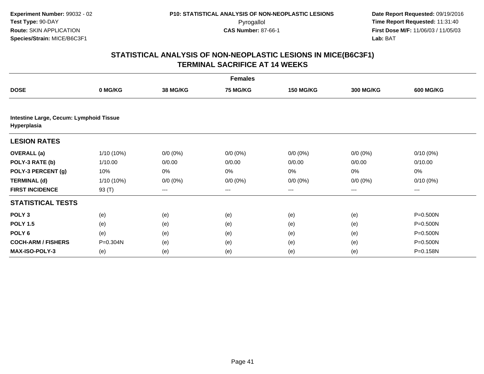| <b>Females</b>                                         |              |                 |                 |                  |                  |                  |  |  |
|--------------------------------------------------------|--------------|-----------------|-----------------|------------------|------------------|------------------|--|--|
| <b>DOSE</b>                                            | 0 MG/KG      | <b>38 MG/KG</b> | <b>75 MG/KG</b> | <b>150 MG/KG</b> | <b>300 MG/KG</b> | <b>600 MG/KG</b> |  |  |
|                                                        |              |                 |                 |                  |                  |                  |  |  |
| Intestine Large, Cecum: Lymphoid Tissue<br>Hyperplasia |              |                 |                 |                  |                  |                  |  |  |
| <b>LESION RATES</b>                                    |              |                 |                 |                  |                  |                  |  |  |
| <b>OVERALL</b> (a)                                     | $1/10(10\%)$ | $0/0 (0\%)$     | $0/0 (0\%)$     | $0/0 (0\%)$      | $0/0 (0\%)$      | $0/10(0\%)$      |  |  |
| POLY-3 RATE (b)                                        | 1/10.00      | 0/0.00          | 0/0.00          | 0/0.00           | 0/0.00           | 0/10.00          |  |  |
| POLY-3 PERCENT (g)                                     | 10%          | 0%              | 0%              | 0%               | 0%               | 0%               |  |  |
| <b>TERMINAL (d)</b>                                    | $1/10(10\%)$ | $0/0 (0\%)$     | $0/0 (0\%)$     | $0/0 (0\%)$      | $0/0 (0\%)$      | $0/10(0\%)$      |  |  |
| <b>FIRST INCIDENCE</b>                                 | 93 (T)       | $---$           | ---             | $\cdots$         | $\cdots$         | $---$            |  |  |
| <b>STATISTICAL TESTS</b>                               |              |                 |                 |                  |                  |                  |  |  |
| POLY <sub>3</sub>                                      | (e)          | (e)             | (e)             | (e)              | (e)              | $P = 0.500N$     |  |  |
| <b>POLY 1.5</b>                                        | (e)          | (e)             | (e)             | (e)              | (e)              | P=0.500N         |  |  |
| POLY <sub>6</sub>                                      | (e)          | (e)             | (e)             | (e)              | (e)              | $P = 0.500N$     |  |  |
| <b>COCH-ARM / FISHERS</b>                              | $P = 0.304N$ | (e)             | (e)             | (e)              | (e)              | P=0.500N         |  |  |
| <b>MAX-ISO-POLY-3</b>                                  | (e)          | (e)             | (e)             | (e)              | (e)              | P=0.158N         |  |  |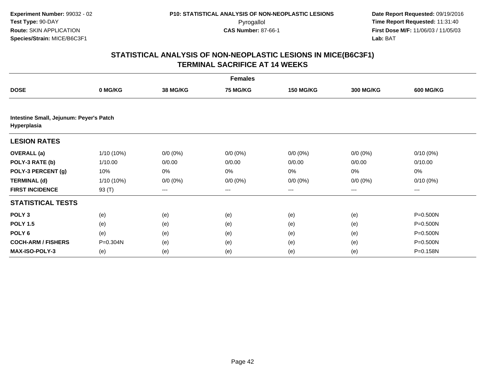| <b>Females</b>                                         |              |                 |                 |                  |                  |                  |  |  |
|--------------------------------------------------------|--------------|-----------------|-----------------|------------------|------------------|------------------|--|--|
| <b>DOSE</b>                                            | 0 MG/KG      | <b>38 MG/KG</b> | <b>75 MG/KG</b> | <b>150 MG/KG</b> | <b>300 MG/KG</b> | <b>600 MG/KG</b> |  |  |
|                                                        |              |                 |                 |                  |                  |                  |  |  |
| Intestine Small, Jejunum: Peyer's Patch<br>Hyperplasia |              |                 |                 |                  |                  |                  |  |  |
| <b>LESION RATES</b>                                    |              |                 |                 |                  |                  |                  |  |  |
| <b>OVERALL</b> (a)                                     | $1/10(10\%)$ | $0/0 (0\%)$     | $0/0 (0\%)$     | $0/0 (0\%)$      | $0/0 (0\%)$      | $0/10(0\%)$      |  |  |
| POLY-3 RATE (b)                                        | 1/10.00      | 0/0.00          | 0/0.00          | 0/0.00           | 0/0.00           | 0/10.00          |  |  |
| POLY-3 PERCENT (g)                                     | 10%          | 0%              | 0%              | 0%               | 0%               | 0%               |  |  |
| <b>TERMINAL (d)</b>                                    | $1/10(10\%)$ | $0/0 (0\%)$     | $0/0 (0\%)$     | $0/0 (0\%)$      | $0/0 (0\%)$      | $0/10(0\%)$      |  |  |
| <b>FIRST INCIDENCE</b>                                 | 93 (T)       | $---$           | ---             | $\cdots$         | $\cdots$         | $---$            |  |  |
| <b>STATISTICAL TESTS</b>                               |              |                 |                 |                  |                  |                  |  |  |
| POLY <sub>3</sub>                                      | (e)          | (e)             | (e)             | (e)              | (e)              | $P = 0.500N$     |  |  |
| <b>POLY 1.5</b>                                        | (e)          | (e)             | (e)             | (e)              | (e)              | P=0.500N         |  |  |
| POLY <sub>6</sub>                                      | (e)          | (e)             | (e)             | (e)              | (e)              | $P = 0.500N$     |  |  |
| <b>COCH-ARM / FISHERS</b>                              | $P = 0.304N$ | (e)             | (e)             | (e)              | (e)              | P=0.500N         |  |  |
| <b>MAX-ISO-POLY-3</b>                                  | (e)          | (e)             | (e)             | (e)              | (e)              | P=0.158N         |  |  |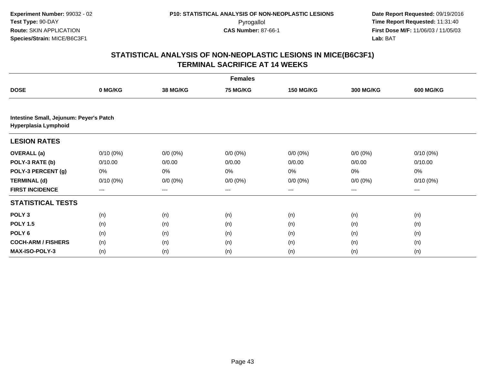| <b>Females</b>                                                  |                   |                 |                 |                  |                  |                  |  |  |
|-----------------------------------------------------------------|-------------------|-----------------|-----------------|------------------|------------------|------------------|--|--|
| <b>DOSE</b>                                                     | 0 MG/KG           | <b>38 MG/KG</b> | <b>75 MG/KG</b> | <b>150 MG/KG</b> | <b>300 MG/KG</b> | <b>600 MG/KG</b> |  |  |
|                                                                 |                   |                 |                 |                  |                  |                  |  |  |
| Intestine Small, Jejunum: Peyer's Patch<br>Hyperplasia Lymphoid |                   |                 |                 |                  |                  |                  |  |  |
| <b>LESION RATES</b>                                             |                   |                 |                 |                  |                  |                  |  |  |
| <b>OVERALL</b> (a)                                              | $0/10(0\%)$       | $0/0 (0\%)$     | $0/0 (0\%)$     | $0/0 (0\%)$      | $0/0 (0\%)$      | $0/10(0\%)$      |  |  |
| POLY-3 RATE (b)                                                 | 0/10.00           | 0/0.00          | 0/0.00          | 0/0.00           | 0/0.00           | 0/10.00          |  |  |
| POLY-3 PERCENT (g)                                              | 0%                | 0%              | 0%              | 0%               | 0%               | 0%               |  |  |
| <b>TERMINAL (d)</b>                                             | $0/10(0\%)$       | $0/0 (0\%)$     | $0/0 (0\%)$     | $0/0 (0\%)$      | $0/0 (0\%)$      | $0/10(0\%)$      |  |  |
| <b>FIRST INCIDENCE</b>                                          | $\qquad \qquad -$ | ---             | ---             | $---$            | ---              | ---              |  |  |
| <b>STATISTICAL TESTS</b>                                        |                   |                 |                 |                  |                  |                  |  |  |
| POLY <sub>3</sub>                                               | (n)               | (n)             | (n)             | (n)              | (n)              | (n)              |  |  |
| <b>POLY 1.5</b>                                                 | (n)               | (n)             | (n)             | (n)              | (n)              | (n)              |  |  |
| POLY <sub>6</sub>                                               | (n)               | (n)             | (n)             | (n)              | (n)              | (n)              |  |  |
| <b>COCH-ARM / FISHERS</b>                                       | (n)               | (n)             | (n)             | (n)              | (n)              | (n)              |  |  |
| MAX-ISO-POLY-3                                                  | (n)               | (n)             | (n)             | (n)              | (n)              | (n)              |  |  |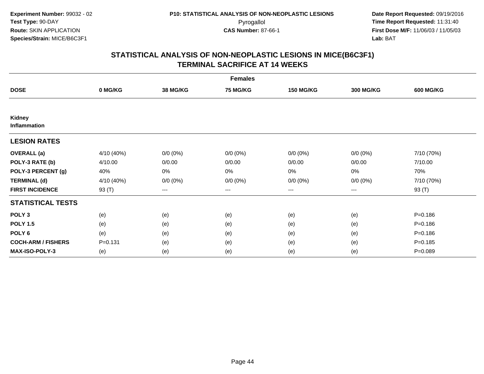| <b>Females</b>            |             |                   |             |                  |                  |                  |  |  |
|---------------------------|-------------|-------------------|-------------|------------------|------------------|------------------|--|--|
| <b>DOSE</b>               | 0 MG/KG     | 38 MG/KG          | 75 MG/KG    | <b>150 MG/KG</b> | <b>300 MG/KG</b> | <b>600 MG/KG</b> |  |  |
|                           |             |                   |             |                  |                  |                  |  |  |
| Kidney<br>Inflammation    |             |                   |             |                  |                  |                  |  |  |
| <b>LESION RATES</b>       |             |                   |             |                  |                  |                  |  |  |
| <b>OVERALL</b> (a)        | 4/10 (40%)  | $0/0 (0\%)$       | $0/0 (0\%)$ | $0/0 (0\%)$      | $0/0 (0\%)$      | 7/10 (70%)       |  |  |
| POLY-3 RATE (b)           | 4/10.00     | 0/0.00            | 0/0.00      | 0/0.00           | 0/0.00           | 7/10.00          |  |  |
| POLY-3 PERCENT (g)        | 40%         | $0\%$             | 0%          | 0%               | $0\%$            | 70%              |  |  |
| <b>TERMINAL (d)</b>       | 4/10 (40%)  | $0/0 (0\%)$       | $0/0 (0\%)$ | $0/0 (0\%)$      | $0/0 (0\%)$      | 7/10 (70%)       |  |  |
| <b>FIRST INCIDENCE</b>    | 93 (T)      | $\qquad \qquad -$ | $---$       | $--$             | $---$            | 93 (T)           |  |  |
| <b>STATISTICAL TESTS</b>  |             |                   |             |                  |                  |                  |  |  |
| POLY <sub>3</sub>         | (e)         | (e)               | (e)         | (e)              | (e)              | $P = 0.186$      |  |  |
| <b>POLY 1.5</b>           | (e)         | (e)               | (e)         | (e)              | (e)              | $P = 0.186$      |  |  |
| POLY <sub>6</sub>         | (e)         | (e)               | (e)         | (e)              | (e)              | $P = 0.186$      |  |  |
| <b>COCH-ARM / FISHERS</b> | $P = 0.131$ | (e)               | (e)         | (e)              | (e)              | $P = 0.185$      |  |  |
| MAX-ISO-POLY-3            | (e)         | (e)               | (e)         | (e)              | (e)              | $P = 0.089$      |  |  |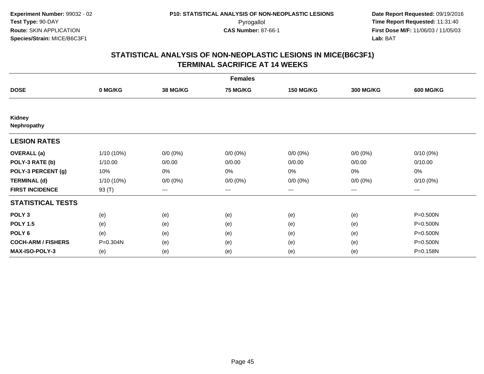| <b>Females</b>               |            |                 |                 |                  |                  |                  |  |  |
|------------------------------|------------|-----------------|-----------------|------------------|------------------|------------------|--|--|
| <b>DOSE</b>                  | 0 MG/KG    | <b>38 MG/KG</b> | <b>75 MG/KG</b> | <b>150 MG/KG</b> | <b>300 MG/KG</b> | <b>600 MG/KG</b> |  |  |
|                              |            |                 |                 |                  |                  |                  |  |  |
| <b>Kidney</b><br>Nephropathy |            |                 |                 |                  |                  |                  |  |  |
| <b>LESION RATES</b>          |            |                 |                 |                  |                  |                  |  |  |
| <b>OVERALL</b> (a)           | 1/10 (10%) | $0/0 (0\%)$     | $0/0 (0\%)$     | $0/0 (0\%)$      | $0/0 (0\%)$      | $0/10(0\%)$      |  |  |
| POLY-3 RATE (b)              | 1/10.00    | 0/0.00          | 0/0.00          | 0/0.00           | 0/0.00           | 0/10.00          |  |  |
| POLY-3 PERCENT (g)           | 10%        | 0%              | 0%              | 0%               | $0\%$            | 0%               |  |  |
| <b>TERMINAL (d)</b>          | 1/10 (10%) | $0/0 (0\%)$     | $0/0 (0\%)$     | $0/0 (0\%)$      | $0/0 (0\%)$      | $0/10(0\%)$      |  |  |
| <b>FIRST INCIDENCE</b>       | 93 (T)     | $--$            | ---             | ---              | $--$             | ---              |  |  |
| <b>STATISTICAL TESTS</b>     |            |                 |                 |                  |                  |                  |  |  |
| POLY <sub>3</sub>            | (e)        | (e)             | (e)             | (e)              | (e)              | P=0.500N         |  |  |
| <b>POLY 1.5</b>              | (e)        | (e)             | (e)             | (e)              | (e)              | P=0.500N         |  |  |
| POLY 6                       | (e)        | (e)             | (e)             | (e)              | (e)              | P=0.500N         |  |  |
| <b>COCH-ARM / FISHERS</b>    | P=0.304N   | (e)             | (e)             | (e)              | (e)              | P=0.500N         |  |  |
| <b>MAX-ISO-POLY-3</b>        | (e)        | (e)             | (e)             | (e)              | (e)              | P=0.158N         |  |  |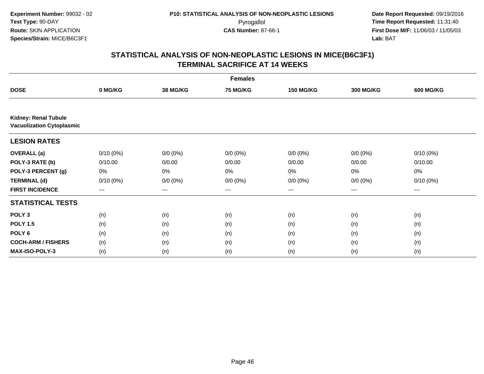| <b>Females</b>                                                  |             |                 |                 |                   |                  |                  |  |  |
|-----------------------------------------------------------------|-------------|-----------------|-----------------|-------------------|------------------|------------------|--|--|
| <b>DOSE</b>                                                     | 0 MG/KG     | <b>38 MG/KG</b> | <b>75 MG/KG</b> | <b>150 MG/KG</b>  | <b>300 MG/KG</b> | <b>600 MG/KG</b> |  |  |
|                                                                 |             |                 |                 |                   |                  |                  |  |  |
| <b>Kidney: Renal Tubule</b><br><b>Vacuolization Cytoplasmic</b> |             |                 |                 |                   |                  |                  |  |  |
| <b>LESION RATES</b>                                             |             |                 |                 |                   |                  |                  |  |  |
| <b>OVERALL</b> (a)                                              | $0/10(0\%)$ | $0/0 (0\%)$     | $0/0 (0\%)$     | $0/0 (0\%)$       | $0/0 (0\%)$      | $0/10(0\%)$      |  |  |
| POLY-3 RATE (b)                                                 | 0/10.00     | 0/0.00          | 0/0.00          | 0/0.00            | 0/0.00           | 0/10.00          |  |  |
| POLY-3 PERCENT (g)                                              | 0%          | 0%              | 0%              | 0%                | 0%               | 0%               |  |  |
| <b>TERMINAL (d)</b>                                             | $0/10(0\%)$ | $0/0 (0\%)$     | $0/0 (0\%)$     | $0/0 (0\%)$       | $0/0 (0\%)$      | $0/10(0\%)$      |  |  |
| <b>FIRST INCIDENCE</b>                                          | $---$       | ---             | ---             | $\qquad \qquad -$ | ---              | $--$             |  |  |
| <b>STATISTICAL TESTS</b>                                        |             |                 |                 |                   |                  |                  |  |  |
| POLY <sub>3</sub>                                               | (n)         | (n)             | (n)             | (n)               | (n)              | (n)              |  |  |
| <b>POLY 1.5</b>                                                 | (n)         | (n)             | (n)             | (n)               | (n)              | (n)              |  |  |
| POLY <sub>6</sub>                                               | (n)         | (n)             | (n)             | (n)               | (n)              | (n)              |  |  |
| <b>COCH-ARM / FISHERS</b>                                       | (n)         | (n)             | (n)             | (n)               | (n)              | (n)              |  |  |
| MAX-ISO-POLY-3                                                  | (n)         | (n)             | (n)             | (n)               | (n)              | (n)              |  |  |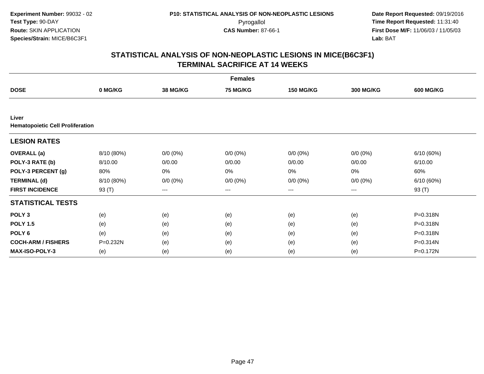| <b>Females</b>                                   |            |             |             |                  |                  |                  |  |  |
|--------------------------------------------------|------------|-------------|-------------|------------------|------------------|------------------|--|--|
| <b>DOSE</b>                                      | 0 MG/KG    | 38 MG/KG    | 75 MG/KG    | <b>150 MG/KG</b> | <b>300 MG/KG</b> | <b>600 MG/KG</b> |  |  |
|                                                  |            |             |             |                  |                  |                  |  |  |
| Liver<br><b>Hematopoietic Cell Proliferation</b> |            |             |             |                  |                  |                  |  |  |
| <b>LESION RATES</b>                              |            |             |             |                  |                  |                  |  |  |
| <b>OVERALL</b> (a)                               | 8/10 (80%) | $0/0 (0\%)$ | $0/0 (0\%)$ | $0/0 (0\%)$      | $0/0 (0\%)$      | 6/10(60%)        |  |  |
| POLY-3 RATE (b)                                  | 8/10.00    | 0/0.00      | 0/0.00      | 0/0.00           | 0/0.00           | 6/10.00          |  |  |
| POLY-3 PERCENT (g)                               | 80%        | 0%          | 0%          | 0%               | 0%               | 60%              |  |  |
| <b>TERMINAL (d)</b>                              | 8/10 (80%) | $0/0 (0\%)$ | $0/0 (0\%)$ | $0/0 (0\%)$      | $0/0 (0\%)$      | 6/10(60%)        |  |  |
| <b>FIRST INCIDENCE</b>                           | 93 (T)     | $---$       | ---         | ---              | ---              | 93 (T)           |  |  |
| <b>STATISTICAL TESTS</b>                         |            |             |             |                  |                  |                  |  |  |
| POLY <sub>3</sub>                                | (e)        | (e)         | (e)         | (e)              | (e)              | P=0.318N         |  |  |
| <b>POLY 1.5</b>                                  | (e)        | (e)         | (e)         | (e)              | (e)              | P=0.318N         |  |  |
| POLY <sub>6</sub>                                | (e)        | (e)         | (e)         | (e)              | (e)              | P=0.318N         |  |  |
| <b>COCH-ARM / FISHERS</b>                        | P=0.232N   | (e)         | (e)         | (e)              | (e)              | P=0.314N         |  |  |
| <b>MAX-ISO-POLY-3</b>                            | (e)        | (e)         | (e)         | (e)              | (e)              | P=0.172N         |  |  |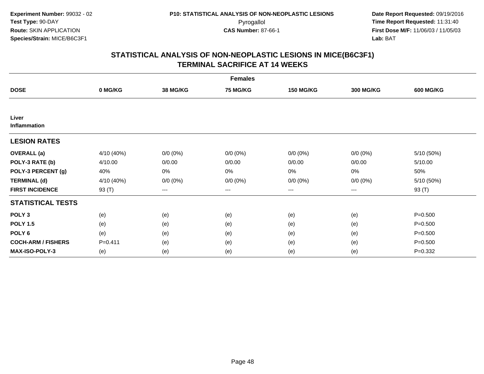| <b>Females</b>            |             |             |             |                  |                  |                  |  |  |
|---------------------------|-------------|-------------|-------------|------------------|------------------|------------------|--|--|
| <b>DOSE</b>               | 0 MG/KG     | 38 MG/KG    | 75 MG/KG    | <b>150 MG/KG</b> | <b>300 MG/KG</b> | <b>600 MG/KG</b> |  |  |
|                           |             |             |             |                  |                  |                  |  |  |
| Liver<br>Inflammation     |             |             |             |                  |                  |                  |  |  |
| <b>LESION RATES</b>       |             |             |             |                  |                  |                  |  |  |
| <b>OVERALL</b> (a)        | 4/10 (40%)  | $0/0 (0\%)$ | $0/0 (0\%)$ | $0/0 (0\%)$      | $0/0 (0\%)$      | 5/10 (50%)       |  |  |
| POLY-3 RATE (b)           | 4/10.00     | 0/0.00      | 0/0.00      | 0/0.00           | 0/0.00           | 5/10.00          |  |  |
| POLY-3 PERCENT (g)        | 40%         | 0%          | 0%          | 0%               | $0\%$            | 50%              |  |  |
| <b>TERMINAL (d)</b>       | 4/10 (40%)  | $0/0 (0\%)$ | $0/0 (0\%)$ | $0/0 (0\%)$      | $0/0 (0\%)$      | 5/10 (50%)       |  |  |
| <b>FIRST INCIDENCE</b>    | 93 (T)      | $--$        | ---         | ---              | $---$            | 93 (T)           |  |  |
| <b>STATISTICAL TESTS</b>  |             |             |             |                  |                  |                  |  |  |
| POLY <sub>3</sub>         | (e)         | (e)         | (e)         | (e)              | (e)              | $P = 0.500$      |  |  |
| <b>POLY 1.5</b>           | (e)         | (e)         | (e)         | (e)              | (e)              | $P = 0.500$      |  |  |
| POLY 6                    | (e)         | (e)         | (e)         | (e)              | (e)              | $P = 0.500$      |  |  |
| <b>COCH-ARM / FISHERS</b> | $P = 0.411$ | (e)         | (e)         | (e)              | (e)              | $P = 0.500$      |  |  |
| <b>MAX-ISO-POLY-3</b>     | (e)         | (e)         | (e)         | (e)              | (e)              | $P=0.332$        |  |  |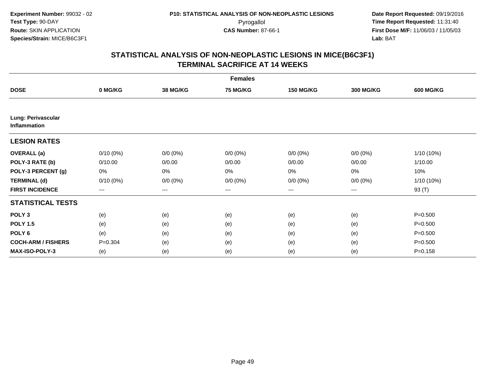| <b>Females</b>                            |                        |                 |                 |                   |                  |                  |  |  |
|-------------------------------------------|------------------------|-----------------|-----------------|-------------------|------------------|------------------|--|--|
| <b>DOSE</b>                               | 0 MG/KG                | <b>38 MG/KG</b> | <b>75 MG/KG</b> | <b>150 MG/KG</b>  | <b>300 MG/KG</b> | <b>600 MG/KG</b> |  |  |
|                                           |                        |                 |                 |                   |                  |                  |  |  |
| Lung: Perivascular<br><b>Inflammation</b> |                        |                 |                 |                   |                  |                  |  |  |
| <b>LESION RATES</b>                       |                        |                 |                 |                   |                  |                  |  |  |
| <b>OVERALL</b> (a)                        | $0/10(0\%)$            | $0/0 (0\%)$     | $0/0 (0\%)$     | $0/0 (0\%)$       | $0/0 (0\%)$      | 1/10 (10%)       |  |  |
| POLY-3 RATE (b)                           | 0/10.00                | 0/0.00          | 0/0.00          | 0/0.00            | 0/0.00           | 1/10.00          |  |  |
| POLY-3 PERCENT (g)                        | 0%                     | $0\%$           | 0%              | $0\%$             | $0\%$            | 10%              |  |  |
| <b>TERMINAL (d)</b>                       | $0/10(0\%)$            | $0/0 (0\%)$     | $0/0 (0\%)$     | $0/0 (0\%)$       | $0/0 (0\%)$      | 1/10 (10%)       |  |  |
| <b>FIRST INCIDENCE</b>                    | $\qquad \qquad \cdots$ | $---$           | ---             | $\qquad \qquad -$ | $---$            | 93 (T)           |  |  |
| <b>STATISTICAL TESTS</b>                  |                        |                 |                 |                   |                  |                  |  |  |
| POLY <sub>3</sub>                         | (e)                    | (e)             | (e)             | (e)               | (e)              | $P = 0.500$      |  |  |
| <b>POLY 1.5</b>                           | (e)                    | (e)             | (e)             | (e)               | (e)              | $P = 0.500$      |  |  |
| POLY <sub>6</sub>                         | (e)                    | (e)             | (e)             | (e)               | (e)              | $P = 0.500$      |  |  |
| <b>COCH-ARM / FISHERS</b>                 | $P = 0.304$            | (e)             | (e)             | (e)               | (e)              | $P = 0.500$      |  |  |
| <b>MAX-ISO-POLY-3</b>                     | (e)                    | (e)             | (e)             | (e)               | (e)              | $P = 0.158$      |  |  |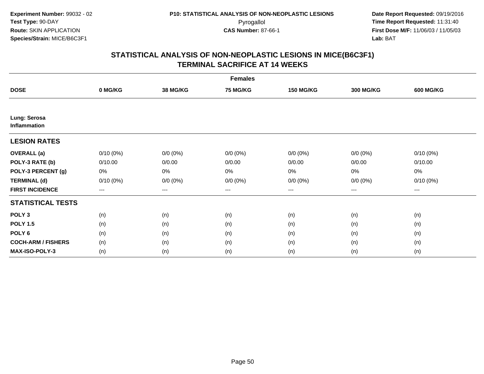|                              | <b>Females</b> |                 |             |                   |                        |                  |  |  |  |
|------------------------------|----------------|-----------------|-------------|-------------------|------------------------|------------------|--|--|--|
| <b>DOSE</b>                  | 0 MG/KG        | <b>38 MG/KG</b> | 75 MG/KG    | <b>150 MG/KG</b>  | <b>300 MG/KG</b>       | <b>600 MG/KG</b> |  |  |  |
|                              |                |                 |             |                   |                        |                  |  |  |  |
| Lung: Serosa<br>Inflammation |                |                 |             |                   |                        |                  |  |  |  |
| <b>LESION RATES</b>          |                |                 |             |                   |                        |                  |  |  |  |
| <b>OVERALL</b> (a)           | $0/10(0\%)$    | $0/0 (0\%)$     | $0/0 (0\%)$ | $0/0 (0\%)$       | $0/0 (0\%)$            | $0/10(0\%)$      |  |  |  |
| POLY-3 RATE (b)              | 0/10.00        | 0/0.00          | 0/0.00      | 0/0.00            | 0/0.00                 | 0/10.00          |  |  |  |
| POLY-3 PERCENT (g)           | 0%             | 0%              | 0%          | 0%                | $0\%$                  | 0%               |  |  |  |
| <b>TERMINAL (d)</b>          | $0/10(0\%)$    | $0/0 (0\%)$     | $0/0 (0\%)$ | $0/0 (0\%)$       | $0/0 (0\%)$            | $0/10(0\%)$      |  |  |  |
| <b>FIRST INCIDENCE</b>       | $--$           | $--$            | $---$       | $\qquad \qquad -$ | $\qquad \qquad \cdots$ | ---              |  |  |  |
| <b>STATISTICAL TESTS</b>     |                |                 |             |                   |                        |                  |  |  |  |
| POLY <sub>3</sub>            | (n)            | (n)             | (n)         | (n)               | (n)                    | (n)              |  |  |  |
| <b>POLY 1.5</b>              | (n)            | (n)             | (n)         | (n)               | (n)                    | (n)              |  |  |  |
| POLY 6                       | (n)            | (n)             | (n)         | (n)               | (n)                    | (n)              |  |  |  |
| <b>COCH-ARM / FISHERS</b>    | (n)            | (n)             | (n)         | (n)               | (n)                    | (n)              |  |  |  |
| <b>MAX-ISO-POLY-3</b>        | (n)            | (n)             | (n)         | (n)               | (n)                    | (n)              |  |  |  |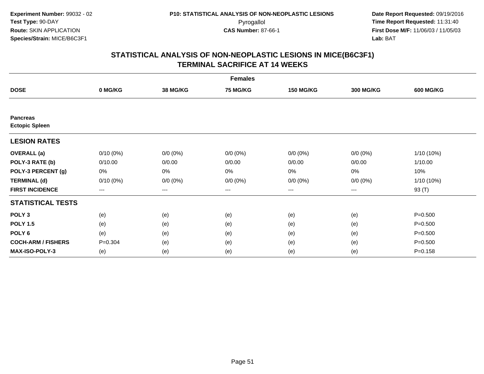|                                          | <b>Females</b> |                   |                 |                  |                  |                  |  |  |  |
|------------------------------------------|----------------|-------------------|-----------------|------------------|------------------|------------------|--|--|--|
| <b>DOSE</b>                              | 0 MG/KG        | <b>38 MG/KG</b>   | <b>75 MG/KG</b> | <b>150 MG/KG</b> | <b>300 MG/KG</b> | <b>600 MG/KG</b> |  |  |  |
|                                          |                |                   |                 |                  |                  |                  |  |  |  |
| <b>Pancreas</b><br><b>Ectopic Spleen</b> |                |                   |                 |                  |                  |                  |  |  |  |
|                                          |                |                   |                 |                  |                  |                  |  |  |  |
| <b>LESION RATES</b>                      |                |                   |                 |                  |                  |                  |  |  |  |
| <b>OVERALL</b> (a)                       | $0/10(0\%)$    | $0/0 (0\%)$       | $0/0 (0\%)$     | $0/0 (0\%)$      | $0/0 (0\%)$      | $1/10(10\%)$     |  |  |  |
| POLY-3 RATE (b)                          | 0/10.00        | 0/0.00            | 0/0.00          | 0/0.00           | 0/0.00           | 1/10.00          |  |  |  |
| POLY-3 PERCENT (g)                       | 0%             | 0%                | 0%              | 0%               | 0%               | 10%              |  |  |  |
| <b>TERMINAL (d)</b>                      | $0/10(0\%)$    | $0/0 (0\%)$       | $0/0 (0\%)$     | $0/0 (0\%)$      | $0/0 (0\%)$      | $1/10(10\%)$     |  |  |  |
| <b>FIRST INCIDENCE</b>                   | $--$           | $\qquad \qquad -$ | $---$           | ---              | ---              | 93 (T)           |  |  |  |
| <b>STATISTICAL TESTS</b>                 |                |                   |                 |                  |                  |                  |  |  |  |
| POLY <sub>3</sub>                        | (e)            | (e)               | (e)             | (e)              | (e)              | $P = 0.500$      |  |  |  |
| <b>POLY 1.5</b>                          | (e)            | (e)               | (e)             | (e)              | (e)              | $P = 0.500$      |  |  |  |
| POLY <sub>6</sub>                        | (e)            | (e)               | (e)             | (e)              | (e)              | $P = 0.500$      |  |  |  |
| <b>COCH-ARM / FISHERS</b>                | $P = 0.304$    | (e)               | (e)             | (e)              | (e)              | $P = 0.500$      |  |  |  |
| <b>MAX-ISO-POLY-3</b>                    | (e)            | (e)               | (e)             | (e)              | (e)              | $P = 0.158$      |  |  |  |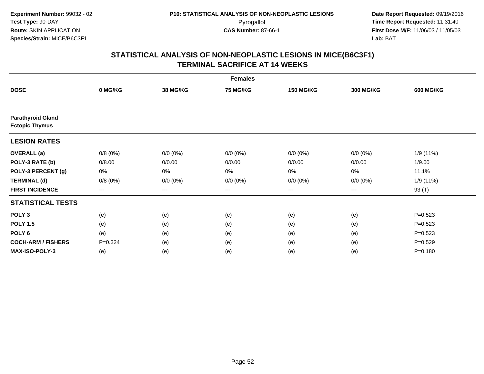|                                                   | <b>Females</b> |                   |                 |                  |                   |                  |  |  |  |
|---------------------------------------------------|----------------|-------------------|-----------------|------------------|-------------------|------------------|--|--|--|
| <b>DOSE</b>                                       | 0 MG/KG        | <b>38 MG/KG</b>   | <b>75 MG/KG</b> | <b>150 MG/KG</b> | <b>300 MG/KG</b>  | <b>600 MG/KG</b> |  |  |  |
|                                                   |                |                   |                 |                  |                   |                  |  |  |  |
| <b>Parathyroid Gland</b><br><b>Ectopic Thymus</b> |                |                   |                 |                  |                   |                  |  |  |  |
| <b>LESION RATES</b>                               |                |                   |                 |                  |                   |                  |  |  |  |
| <b>OVERALL</b> (a)                                | 0/8(0%)        | $0/0 (0\%)$       | $0/0 (0\%)$     | $0/0 (0\%)$      | $0/0 (0\%)$       | 1/9 (11%)        |  |  |  |
| POLY-3 RATE (b)                                   | 0/8.00         | 0/0.00            | 0/0.00          | 0/0.00           | 0/0.00            | 1/9.00           |  |  |  |
| POLY-3 PERCENT (g)                                | 0%             | $0\%$             | 0%              | 0%               | 0%                | 11.1%            |  |  |  |
| <b>TERMINAL (d)</b>                               | 0/8(0%)        | $0/0 (0\%)$       | $0/0 (0\%)$     | $0/0 (0\%)$      | $0/0 (0\%)$       | 1/9(11%)         |  |  |  |
| <b>FIRST INCIDENCE</b>                            | $--$           | $\qquad \qquad -$ | $---$           | ---              | $\qquad \qquad -$ | 93 (T)           |  |  |  |
| <b>STATISTICAL TESTS</b>                          |                |                   |                 |                  |                   |                  |  |  |  |
| POLY <sub>3</sub>                                 | (e)            | (e)               | (e)             | (e)              | (e)               | $P=0.523$        |  |  |  |
| <b>POLY 1.5</b>                                   | (e)            | (e)               | (e)             | (e)              | (e)               | $P = 0.523$      |  |  |  |
| POLY <sub>6</sub>                                 | (e)            | (e)               | (e)             | (e)              | (e)               | $P = 0.523$      |  |  |  |
| <b>COCH-ARM / FISHERS</b>                         | $P = 0.324$    | (e)               | (e)             | (e)              | (e)               | $P = 0.529$      |  |  |  |
| MAX-ISO-POLY-3                                    | (e)            | (e)               | (e)             | (e)              | (e)               | $P = 0.180$      |  |  |  |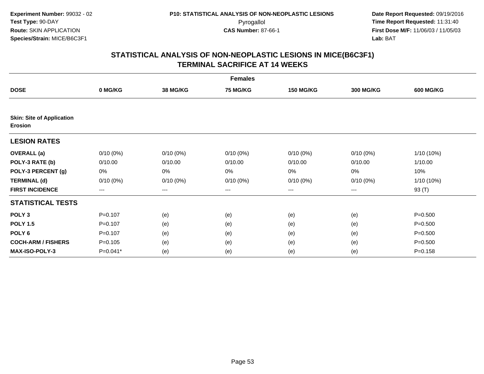|                                                    |             |             | <b>Females</b> |                  |                  |                  |
|----------------------------------------------------|-------------|-------------|----------------|------------------|------------------|------------------|
| <b>DOSE</b>                                        | 0 MG/KG     | 38 MG/KG    | 75 MG/KG       | <b>150 MG/KG</b> | <b>300 MG/KG</b> | <b>600 MG/KG</b> |
|                                                    |             |             |                |                  |                  |                  |
| <b>Skin: Site of Application</b><br><b>Erosion</b> |             |             |                |                  |                  |                  |
| <b>LESION RATES</b>                                |             |             |                |                  |                  |                  |
| <b>OVERALL</b> (a)                                 | $0/10(0\%)$ | $0/10(0\%)$ | $0/10(0\%)$    | $0/10(0\%)$      | $0/10(0\%)$      | 1/10 (10%)       |
| POLY-3 RATE (b)                                    | 0/10.00     | 0/10.00     | 0/10.00        | 0/10.00          | 0/10.00          | 1/10.00          |
| POLY-3 PERCENT (g)                                 | 0%          | 0%          | 0%             | 0%               | 0%               | 10%              |
| <b>TERMINAL (d)</b>                                | $0/10(0\%)$ | $0/10(0\%)$ | $0/10(0\%)$    | $0/10(0\%)$      | $0/10(0\%)$      | 1/10 (10%)       |
| <b>FIRST INCIDENCE</b>                             | $---$       | ---         | ---            | $\cdots$         | ---              | 93 (T)           |
| <b>STATISTICAL TESTS</b>                           |             |             |                |                  |                  |                  |
| POLY <sub>3</sub>                                  | $P = 0.107$ | (e)         | (e)            | (e)              | (e)              | $P = 0.500$      |
| <b>POLY 1.5</b>                                    | $P = 0.107$ | (e)         | (e)            | (e)              | (e)              | $P = 0.500$      |
| POLY <sub>6</sub>                                  | $P = 0.107$ | (e)         | (e)            | (e)              | (e)              | $P = 0.500$      |
| <b>COCH-ARM / FISHERS</b>                          | $P = 0.105$ | (e)         | (e)            | (e)              | (e)              | $P = 0.500$      |
| <b>MAX-ISO-POLY-3</b>                              | P=0.041*    | (e)         | (e)            | (e)              | (e)              | $P = 0.158$      |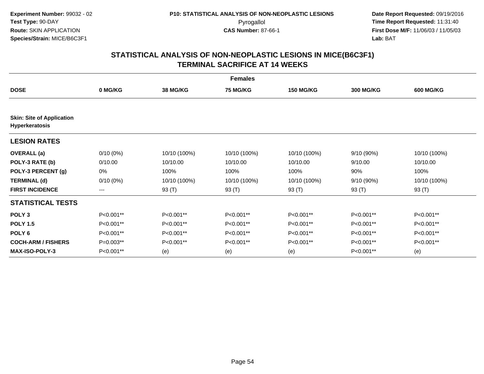|                                                    | <b>Females</b>         |                 |                 |                  |                  |                  |  |  |  |
|----------------------------------------------------|------------------------|-----------------|-----------------|------------------|------------------|------------------|--|--|--|
| <b>DOSE</b>                                        | 0 MG/KG                | <b>38 MG/KG</b> | <b>75 MG/KG</b> | <b>150 MG/KG</b> | <b>300 MG/KG</b> | <b>600 MG/KG</b> |  |  |  |
|                                                    |                        |                 |                 |                  |                  |                  |  |  |  |
| <b>Skin: Site of Application</b><br>Hyperkeratosis |                        |                 |                 |                  |                  |                  |  |  |  |
| <b>LESION RATES</b>                                |                        |                 |                 |                  |                  |                  |  |  |  |
| <b>OVERALL</b> (a)                                 | $0/10(0\%)$            | 10/10 (100%)    | 10/10 (100%)    | 10/10 (100%)     | $9/10(90\%)$     | 10/10 (100%)     |  |  |  |
| POLY-3 RATE (b)                                    | 0/10.00                | 10/10.00        | 10/10.00        | 10/10.00         | 9/10.00          | 10/10.00         |  |  |  |
| POLY-3 PERCENT (g)                                 | 0%                     | 100%            | 100%            | 100%             | 90%              | 100%             |  |  |  |
| <b>TERMINAL (d)</b>                                | $0/10(0\%)$            | 10/10 (100%)    | 10/10 (100%)    | 10/10 (100%)     | 9/10 (90%)       | 10/10 (100%)     |  |  |  |
| <b>FIRST INCIDENCE</b>                             | $\qquad \qquad \cdots$ | 93 (T)          | 93 (T)          | 93 (T)           | 93 (T)           | 93 (T)           |  |  |  |
| <b>STATISTICAL TESTS</b>                           |                        |                 |                 |                  |                  |                  |  |  |  |
| POLY <sub>3</sub>                                  | P<0.001**              | P<0.001**       | P<0.001**       | P<0.001**        | P<0.001**        | P<0.001**        |  |  |  |
| <b>POLY 1.5</b>                                    | P<0.001**              | P<0.001**       | P<0.001**       | P<0.001**        | P<0.001**        | P<0.001**        |  |  |  |
| POLY <sub>6</sub>                                  | P<0.001**              | P<0.001**       | P<0.001**       | P<0.001**        | P<0.001**        | P<0.001**        |  |  |  |
| <b>COCH-ARM / FISHERS</b>                          | P=0.003**              | P<0.001**       | P<0.001**       | P<0.001**        | P<0.001**        | P<0.001**        |  |  |  |
| <b>MAX-ISO-POLY-3</b>                              | P<0.001**              | (e)             | (e)             | (e)              | P<0.001**        | (e)              |  |  |  |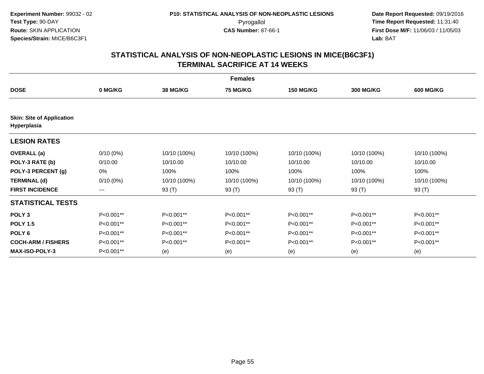|                                                 |             |                 | <b>Females</b>  |                  |                  |                  |
|-------------------------------------------------|-------------|-----------------|-----------------|------------------|------------------|------------------|
| <b>DOSE</b>                                     | 0 MG/KG     | <b>38 MG/KG</b> | <b>75 MG/KG</b> | <b>150 MG/KG</b> | <b>300 MG/KG</b> | <b>600 MG/KG</b> |
| <b>Skin: Site of Application</b><br>Hyperplasia |             |                 |                 |                  |                  |                  |
| <b>LESION RATES</b>                             |             |                 |                 |                  |                  |                  |
| <b>OVERALL</b> (a)                              | $0/10(0\%)$ | 10/10 (100%)    | 10/10 (100%)    | 10/10 (100%)     | 10/10 (100%)     | 10/10 (100%)     |
| POLY-3 RATE (b)                                 | 0/10.00     | 10/10.00        | 10/10.00        | 10/10.00         | 10/10.00         | 10/10.00         |
| POLY-3 PERCENT (g)                              | 0%          | 100%            | 100%            | 100%             | 100%             | 100%             |
| <b>TERMINAL (d)</b>                             | $0/10(0\%)$ | 10/10 (100%)    | 10/10 (100%)    | 10/10 (100%)     | 10/10 (100%)     | 10/10 (100%)     |
| <b>FIRST INCIDENCE</b>                          | $---$       | 93 (T)          | 93 (T)          | 93 (T)           | 93 (T)           | 93 (T)           |
| <b>STATISTICAL TESTS</b>                        |             |                 |                 |                  |                  |                  |
| POLY <sub>3</sub>                               | P<0.001**   | P<0.001**       | P<0.001**       | P<0.001**        | P<0.001**        | P<0.001**        |
| <b>POLY 1.5</b>                                 | P<0.001**   | $P<0.001**$     | $P<0.001**$     | P<0.001**        | P<0.001**        | $P<0.001**$      |
| POLY <sub>6</sub>                               | P<0.001**   | P<0.001**       | P<0.001**       | P<0.001**        | P<0.001**        | P<0.001**        |
| <b>COCH-ARM / FISHERS</b>                       | P<0.001**   | P<0.001**       | P<0.001**       | P<0.001**        | P<0.001**        | P<0.001**        |
| <b>MAX-ISO-POLY-3</b>                           | P<0.001**   | (e)             | (e)             | (e)              | (e)              | (e)              |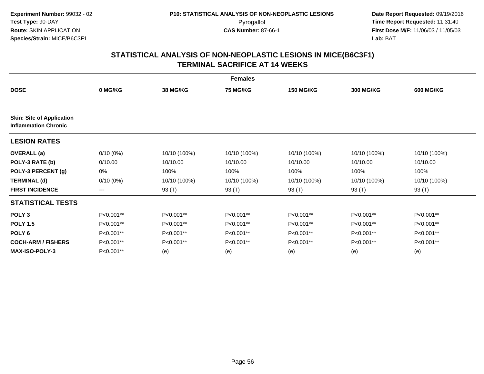|                                                                 | <b>Females</b>    |                 |                 |                  |                  |                  |  |  |
|-----------------------------------------------------------------|-------------------|-----------------|-----------------|------------------|------------------|------------------|--|--|
| <b>DOSE</b>                                                     | 0 MG/KG           | <b>38 MG/KG</b> | <b>75 MG/KG</b> | <b>150 MG/KG</b> | <b>300 MG/KG</b> | <b>600 MG/KG</b> |  |  |
|                                                                 |                   |                 |                 |                  |                  |                  |  |  |
| <b>Skin: Site of Application</b><br><b>Inflammation Chronic</b> |                   |                 |                 |                  |                  |                  |  |  |
| <b>LESION RATES</b>                                             |                   |                 |                 |                  |                  |                  |  |  |
| <b>OVERALL</b> (a)                                              | $0/10(0\%)$       | 10/10 (100%)    | 10/10 (100%)    | 10/10 (100%)     | 10/10 (100%)     | 10/10 (100%)     |  |  |
| POLY-3 RATE (b)                                                 | 0/10.00           | 10/10.00        | 10/10.00        | 10/10.00         | 10/10.00         | 10/10.00         |  |  |
| POLY-3 PERCENT (g)                                              | 0%                | 100%            | 100%            | 100%             | 100%             | 100%             |  |  |
| <b>TERMINAL (d)</b>                                             | $0/10(0\%)$       | 10/10 (100%)    | 10/10 (100%)    | 10/10 (100%)     | 10/10 (100%)     | 10/10 (100%)     |  |  |
| <b>FIRST INCIDENCE</b>                                          | $\qquad \qquad -$ | 93 (T)          | 93 (T)          | 93 (T)           | 93 (T)           | 93 (T)           |  |  |
| <b>STATISTICAL TESTS</b>                                        |                   |                 |                 |                  |                  |                  |  |  |
| POLY <sub>3</sub>                                               | P<0.001**         | P<0.001**       | P<0.001**       | P<0.001**        | P<0.001**        | P<0.001**        |  |  |
| <b>POLY 1.5</b>                                                 | P<0.001**         | P<0.001**       | P<0.001**       | P<0.001**        | P<0.001**        | P<0.001**        |  |  |
| POLY <sub>6</sub>                                               | P<0.001**         | P<0.001**       | P<0.001**       | P<0.001**        | P<0.001**        | P<0.001**        |  |  |
| <b>COCH-ARM / FISHERS</b>                                       | P<0.001**         | P<0.001**       | P<0.001**       | P<0.001**        | P<0.001**        | P<0.001**        |  |  |
| <b>MAX-ISO-POLY-3</b>                                           | P<0.001**         | (e)             | (e)             | (e)              | (e)              | (e)              |  |  |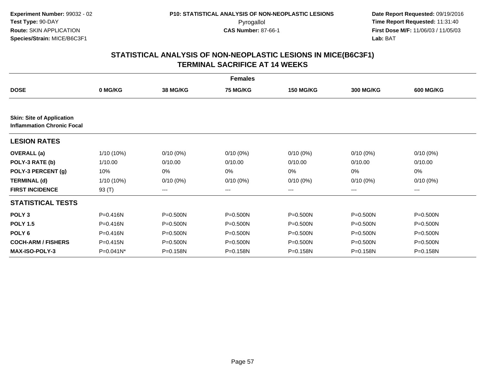|                                                                       |              |                 | <b>Females</b>  |                  |                  |                  |
|-----------------------------------------------------------------------|--------------|-----------------|-----------------|------------------|------------------|------------------|
| <b>DOSE</b>                                                           | 0 MG/KG      | <b>38 MG/KG</b> | <b>75 MG/KG</b> | <b>150 MG/KG</b> | <b>300 MG/KG</b> | <b>600 MG/KG</b> |
|                                                                       |              |                 |                 |                  |                  |                  |
| <b>Skin: Site of Application</b><br><b>Inflammation Chronic Focal</b> |              |                 |                 |                  |                  |                  |
| <b>LESION RATES</b>                                                   |              |                 |                 |                  |                  |                  |
| <b>OVERALL</b> (a)                                                    | 1/10 (10%)   | $0/10(0\%)$     | $0/10(0\%)$     | $0/10(0\%)$      | $0/10(0\%)$      | $0/10(0\%)$      |
| POLY-3 RATE (b)                                                       | 1/10.00      | 0/10.00         | 0/10.00         | 0/10.00          | 0/10.00          | 0/10.00          |
| POLY-3 PERCENT (g)                                                    | 10%          | 0%              | 0%              | 0%               | 0%               | 0%               |
| <b>TERMINAL (d)</b>                                                   | 1/10 (10%)   | $0/10(0\%)$     | $0/10(0\%)$     | $0/10(0\%)$      | $0/10(0\%)$      | $0/10(0\%)$      |
| <b>FIRST INCIDENCE</b>                                                | 93 (T)       | ---             | ---             | ---              | ---              | ---              |
| <b>STATISTICAL TESTS</b>                                              |              |                 |                 |                  |                  |                  |
| POLY <sub>3</sub>                                                     | $P = 0.416N$ | $P = 0.500N$    | P=0.500N        | $P = 0.500N$     | $P = 0.500N$     | P=0.500N         |
| <b>POLY 1.5</b>                                                       | P=0.416N     | $P = 0.500N$    | P=0.500N        | $P = 0.500N$     | P=0.500N         | P=0.500N         |
| POLY <sub>6</sub>                                                     | $P = 0.416N$ | $P = 0.500N$    | $P = 0.500N$    | $P = 0.500N$     | $P = 0.500N$     | $P = 0.500N$     |
| <b>COCH-ARM / FISHERS</b>                                             | $P = 0.415N$ | $P = 0.500N$    | $P = 0.500N$    | $P = 0.500N$     | $P = 0.500N$     | P=0.500N         |
| <b>MAX-ISO-POLY-3</b>                                                 | $P=0.041N^*$ | $P = 0.158N$    | $P = 0.158N$    | P=0.158N         | $P = 0.158N$     | $P = 0.158N$     |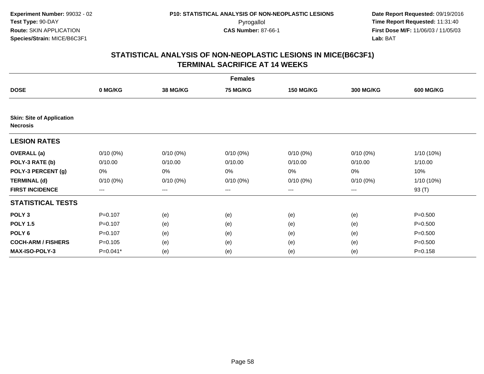|                                                     | <b>Females</b> |                 |                 |                        |                  |                  |  |  |  |
|-----------------------------------------------------|----------------|-----------------|-----------------|------------------------|------------------|------------------|--|--|--|
| <b>DOSE</b>                                         | 0 MG/KG        | <b>38 MG/KG</b> | <b>75 MG/KG</b> | <b>150 MG/KG</b>       | <b>300 MG/KG</b> | <b>600 MG/KG</b> |  |  |  |
|                                                     |                |                 |                 |                        |                  |                  |  |  |  |
| <b>Skin: Site of Application</b><br><b>Necrosis</b> |                |                 |                 |                        |                  |                  |  |  |  |
| <b>LESION RATES</b>                                 |                |                 |                 |                        |                  |                  |  |  |  |
| <b>OVERALL</b> (a)                                  | $0/10(0\%)$    | $0/10(0\%)$     | $0/10(0\%)$     | $0/10(0\%)$            | $0/10(0\%)$      | 1/10 (10%)       |  |  |  |
| POLY-3 RATE (b)                                     | 0/10.00        | 0/10.00         | 0/10.00         | 0/10.00                | 0/10.00          | 1/10.00          |  |  |  |
| POLY-3 PERCENT (g)                                  | 0%             | 0%              | 0%              | 0%                     | 0%               | 10%              |  |  |  |
| <b>TERMINAL (d)</b>                                 | $0/10(0\%)$    | $0/10(0\%)$     | $0/10(0\%)$     | $0/10(0\%)$            | $0/10(0\%)$      | 1/10 (10%)       |  |  |  |
| <b>FIRST INCIDENCE</b>                              | $---$          | ---             | ---             | $\qquad \qquad \cdots$ | ---              | 93 (T)           |  |  |  |
| <b>STATISTICAL TESTS</b>                            |                |                 |                 |                        |                  |                  |  |  |  |
| POLY <sub>3</sub>                                   | $P=0.107$      | (e)             | (e)             | (e)                    | (e)              | $P = 0.500$      |  |  |  |
| <b>POLY 1.5</b>                                     | $P = 0.107$    | (e)             | (e)             | (e)                    | (e)              | $P = 0.500$      |  |  |  |
| POLY <sub>6</sub>                                   | $P = 0.107$    | (e)             | (e)             | (e)                    | (e)              | $P = 0.500$      |  |  |  |
| <b>COCH-ARM / FISHERS</b>                           | $P = 0.105$    | (e)             | (e)             | (e)                    | (e)              | $P = 0.500$      |  |  |  |
| <b>MAX-ISO-POLY-3</b>                               | P=0.041*       | (e)             | (e)             | (e)                    | (e)              | $P = 0.158$      |  |  |  |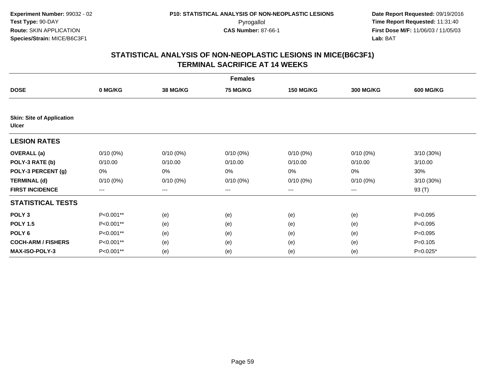|                                                  | <b>Females</b>         |             |             |                   |                  |                  |  |  |  |
|--------------------------------------------------|------------------------|-------------|-------------|-------------------|------------------|------------------|--|--|--|
| <b>DOSE</b>                                      | 0 MG/KG                | 38 MG/KG    | 75 MG/KG    | <b>150 MG/KG</b>  | <b>300 MG/KG</b> | <b>600 MG/KG</b> |  |  |  |
|                                                  |                        |             |             |                   |                  |                  |  |  |  |
| <b>Skin: Site of Application</b><br><b>Ulcer</b> |                        |             |             |                   |                  |                  |  |  |  |
| <b>LESION RATES</b>                              |                        |             |             |                   |                  |                  |  |  |  |
| <b>OVERALL</b> (a)                               | $0/10(0\%)$            | $0/10(0\%)$ | $0/10(0\%)$ | $0/10(0\%)$       | $0/10(0\%)$      | 3/10 (30%)       |  |  |  |
| POLY-3 RATE (b)                                  | 0/10.00                | 0/10.00     | 0/10.00     | 0/10.00           | 0/10.00          | 3/10.00          |  |  |  |
| POLY-3 PERCENT (g)                               | 0%                     | 0%          | 0%          | 0%                | 0%               | 30%              |  |  |  |
| <b>TERMINAL (d)</b>                              | $0/10(0\%)$            | $0/10(0\%)$ | $0/10(0\%)$ | $0/10(0\%)$       | $0/10(0\%)$      | 3/10 (30%)       |  |  |  |
| <b>FIRST INCIDENCE</b>                           | $\qquad \qquad \cdots$ | ---         | ---         | $\qquad \qquad -$ | ---              | 93 (T)           |  |  |  |
| <b>STATISTICAL TESTS</b>                         |                        |             |             |                   |                  |                  |  |  |  |
| POLY <sub>3</sub>                                | P<0.001**              | (e)         | (e)         | (e)               | (e)              | $P=0.095$        |  |  |  |
| <b>POLY 1.5</b>                                  | P<0.001**              | (e)         | (e)         | (e)               | (e)              | $P=0.095$        |  |  |  |
| POLY <sub>6</sub>                                | P<0.001**              | (e)         | (e)         | (e)               | (e)              | $P=0.095$        |  |  |  |
| <b>COCH-ARM / FISHERS</b>                        | P<0.001**              | (e)         | (e)         | (e)               | (e)              | $P = 0.105$      |  |  |  |
| <b>MAX-ISO-POLY-3</b>                            | P<0.001**              | (e)         | (e)         | (e)               | (e)              | P=0.025*         |  |  |  |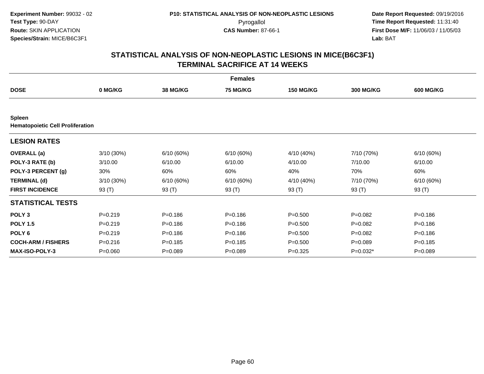|                                                          |             |                 | <b>Females</b>  |                  |             |                  |
|----------------------------------------------------------|-------------|-----------------|-----------------|------------------|-------------|------------------|
| <b>DOSE</b>                                              | 0 MG/KG     | <b>38 MG/KG</b> | <b>75 MG/KG</b> | <b>150 MG/KG</b> | 300 MG/KG   | <b>600 MG/KG</b> |
|                                                          |             |                 |                 |                  |             |                  |
| <b>Spleen</b><br><b>Hematopoietic Cell Proliferation</b> |             |                 |                 |                  |             |                  |
| <b>LESION RATES</b>                                      |             |                 |                 |                  |             |                  |
| <b>OVERALL</b> (a)                                       | 3/10 (30%)  | 6/10(60%)       | 6/10 (60%)      | 4/10 (40%)       | 7/10 (70%)  | 6/10(60%)        |
| POLY-3 RATE (b)                                          | 3/10.00     | 6/10.00         | 6/10.00         | 4/10.00          | 7/10.00     | 6/10.00          |
| POLY-3 PERCENT (g)                                       | 30%         | 60%             | 60%             | 40%              | 70%         | 60%              |
| <b>TERMINAL (d)</b>                                      | 3/10 (30%)  | 6/10(60%)       | 6/10 (60%)      | 4/10 (40%)       | 7/10 (70%)  | 6/10(60%)        |
| <b>FIRST INCIDENCE</b>                                   | 93 (T)      | 93 (T)          | 93 (T)          | 93 (T)           | 93 (T)      | 93 (T)           |
| <b>STATISTICAL TESTS</b>                                 |             |                 |                 |                  |             |                  |
| POLY <sub>3</sub>                                        | $P = 0.219$ | $P = 0.186$     | $P = 0.186$     | $P = 0.500$      | $P=0.082$   | $P = 0.186$      |
| <b>POLY 1.5</b>                                          | $P=0.219$   | $P = 0.186$     | $P = 0.186$     | $P = 0.500$      | $P=0.082$   | $P = 0.186$      |
| POLY <sub>6</sub>                                        | $P=0.219$   | $P = 0.186$     | $P = 0.186$     | $P = 0.500$      | $P=0.082$   | $P = 0.186$      |
| <b>COCH-ARM / FISHERS</b>                                | $P = 0.216$ | $P = 0.185$     | $P = 0.185$     | $P = 0.500$      | $P = 0.089$ | $P = 0.185$      |
| <b>MAX-ISO-POLY-3</b>                                    | $P = 0.060$ | $P = 0.089$     | $P = 0.089$     | $P = 0.325$      | $P=0.032*$  | $P = 0.089$      |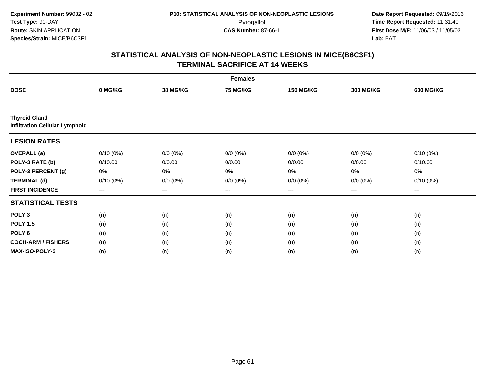|                                                               | <b>Females</b> |                 |                 |                   |                  |                  |  |  |  |
|---------------------------------------------------------------|----------------|-----------------|-----------------|-------------------|------------------|------------------|--|--|--|
| <b>DOSE</b>                                                   | 0 MG/KG        | <b>38 MG/KG</b> | <b>75 MG/KG</b> | <b>150 MG/KG</b>  | <b>300 MG/KG</b> | <b>600 MG/KG</b> |  |  |  |
|                                                               |                |                 |                 |                   |                  |                  |  |  |  |
| <b>Thyroid Gland</b><br><b>Infiltration Cellular Lymphoid</b> |                |                 |                 |                   |                  |                  |  |  |  |
| <b>LESION RATES</b>                                           |                |                 |                 |                   |                  |                  |  |  |  |
| <b>OVERALL</b> (a)                                            | $0/10(0\%)$    | $0/0 (0\%)$     | $0/0 (0\%)$     | $0/0 (0\%)$       | $0/0 (0\%)$      | $0/10(0\%)$      |  |  |  |
| POLY-3 RATE (b)                                               | 0/10.00        | 0/0.00          | 0/0.00          | 0/0.00            | 0/0.00           | 0/10.00          |  |  |  |
| POLY-3 PERCENT (g)                                            | 0%             | 0%              | 0%              | 0%                | 0%               | 0%               |  |  |  |
| <b>TERMINAL (d)</b>                                           | $0/10(0\%)$    | $0/0 (0\%)$     | $0/0 (0\%)$     | $0/0 (0\%)$       | $0/0 (0\%)$      | $0/10(0\%)$      |  |  |  |
| <b>FIRST INCIDENCE</b>                                        | $---$          | $---$           | $---$           | $\qquad \qquad -$ | $---$            | $---$            |  |  |  |
| <b>STATISTICAL TESTS</b>                                      |                |                 |                 |                   |                  |                  |  |  |  |
| POLY <sub>3</sub>                                             | (n)            | (n)             | (n)             | (n)               | (n)              | (n)              |  |  |  |
| <b>POLY 1.5</b>                                               | (n)            | (n)             | (n)             | (n)               | (n)              | (n)              |  |  |  |
| POLY <sub>6</sub>                                             | (n)            | (n)             | (n)             | (n)               | (n)              | (n)              |  |  |  |
| <b>COCH-ARM / FISHERS</b>                                     | (n)            | (n)             | (n)             | (n)               | (n)              | (n)              |  |  |  |
| <b>MAX-ISO-POLY-3</b>                                         | (n)            | (n)             | (n)             | (n)               | (n)              | (n)              |  |  |  |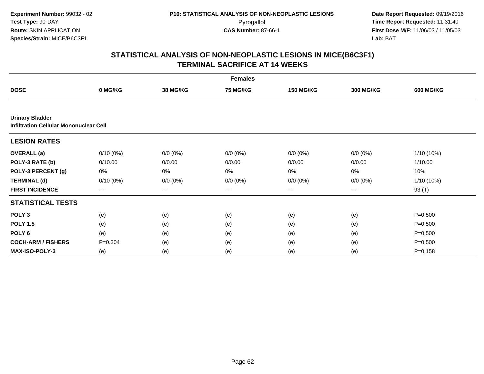| <b>Females</b>                                                          |                        |                 |                 |                   |                  |                  |  |  |
|-------------------------------------------------------------------------|------------------------|-----------------|-----------------|-------------------|------------------|------------------|--|--|
| <b>DOSE</b>                                                             | 0 MG/KG                | <b>38 MG/KG</b> | <b>75 MG/KG</b> | <b>150 MG/KG</b>  | <b>300 MG/KG</b> | <b>600 MG/KG</b> |  |  |
|                                                                         |                        |                 |                 |                   |                  |                  |  |  |
| <b>Urinary Bladder</b><br><b>Infiltration Cellular Mononuclear Cell</b> |                        |                 |                 |                   |                  |                  |  |  |
| <b>LESION RATES</b>                                                     |                        |                 |                 |                   |                  |                  |  |  |
| <b>OVERALL</b> (a)                                                      | $0/10(0\%)$            | $0/0 (0\%)$     | $0/0 (0\%)$     | $0/0 (0\%)$       | $0/0 (0\%)$      | 1/10 (10%)       |  |  |
| POLY-3 RATE (b)                                                         | 0/10.00                | 0/0.00          | 0/0.00          | 0/0.00            | 0/0.00           | 1/10.00          |  |  |
| POLY-3 PERCENT (g)                                                      | 0%                     | 0%              | 0%              | 0%                | 0%               | 10%              |  |  |
| <b>TERMINAL (d)</b>                                                     | $0/10(0\%)$            | $0/0 (0\%)$     | $0/0 (0\%)$     | $0/0 (0\%)$       | $0/0 (0\%)$      | 1/10 (10%)       |  |  |
| <b>FIRST INCIDENCE</b>                                                  | $\qquad \qquad \cdots$ | $---$           | ---             | $\qquad \qquad -$ | ---              | 93 (T)           |  |  |
| <b>STATISTICAL TESTS</b>                                                |                        |                 |                 |                   |                  |                  |  |  |
| POLY <sub>3</sub>                                                       | (e)                    | (e)             | (e)             | (e)               | (e)              | $P = 0.500$      |  |  |
| <b>POLY 1.5</b>                                                         | (e)                    | (e)             | (e)             | (e)               | (e)              | $P = 0.500$      |  |  |
| POLY <sub>6</sub>                                                       | (e)                    | (e)             | (e)             | (e)               | (e)              | $P = 0.500$      |  |  |
| <b>COCH-ARM / FISHERS</b>                                               | $P = 0.304$            | (e)             | (e)             | (e)               | (e)              | $P = 0.500$      |  |  |
| <b>MAX-ISO-POLY-3</b>                                                   | (e)                    | (e)             | (e)             | (e)               | (e)              | $P = 0.158$      |  |  |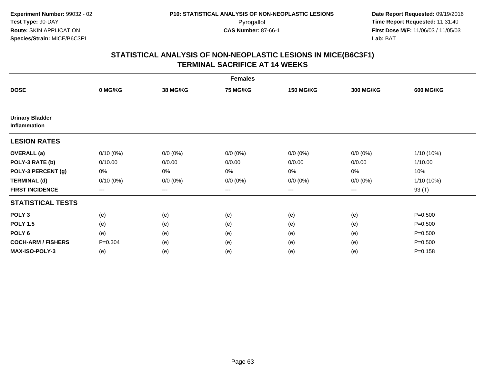| <b>Females</b>                         |             |                 |                 |                  |                  |                  |  |  |
|----------------------------------------|-------------|-----------------|-----------------|------------------|------------------|------------------|--|--|
| <b>DOSE</b>                            | 0 MG/KG     | <b>38 MG/KG</b> | <b>75 MG/KG</b> | <b>150 MG/KG</b> | <b>300 MG/KG</b> | <b>600 MG/KG</b> |  |  |
|                                        |             |                 |                 |                  |                  |                  |  |  |
| <b>Urinary Bladder</b><br>Inflammation |             |                 |                 |                  |                  |                  |  |  |
| <b>LESION RATES</b>                    |             |                 |                 |                  |                  |                  |  |  |
| <b>OVERALL</b> (a)                     | $0/10(0\%)$ | $0/0 (0\%)$     | $0/0 (0\%)$     | $0/0 (0\%)$      | $0/0 (0\%)$      | 1/10 (10%)       |  |  |
| POLY-3 RATE (b)                        | 0/10.00     | 0/0.00          | 0/0.00          | 0/0.00           | 0/0.00           | 1/10.00          |  |  |
| POLY-3 PERCENT (g)                     | 0%          | 0%              | 0%              | 0%               | $0\%$            | 10%              |  |  |
| <b>TERMINAL (d)</b>                    | $0/10(0\%)$ | $0/0 (0\%)$     | $0/0 (0\%)$     | $0/0 (0\%)$      | $0/0 (0\%)$      | 1/10 (10%)       |  |  |
| <b>FIRST INCIDENCE</b>                 | ---         | $--$            | ---             | $--$             | $--$             | 93 (T)           |  |  |
| <b>STATISTICAL TESTS</b>               |             |                 |                 |                  |                  |                  |  |  |
| POLY <sub>3</sub>                      | (e)         | (e)             | (e)             | (e)              | (e)              | $P = 0.500$      |  |  |
| <b>POLY 1.5</b>                        | (e)         | (e)             | (e)             | (e)              | (e)              | $P = 0.500$      |  |  |
| POLY 6                                 | (e)         | (e)             | (e)             | (e)              | (e)              | $P = 0.500$      |  |  |
| <b>COCH-ARM / FISHERS</b>              | $P = 0.304$ | (e)             | (e)             | (e)              | (e)              | $P = 0.500$      |  |  |
| <b>MAX-ISO-POLY-3</b>                  | (e)         | (e)             | (e)             | (e)              | (e)              | $P = 0.158$      |  |  |